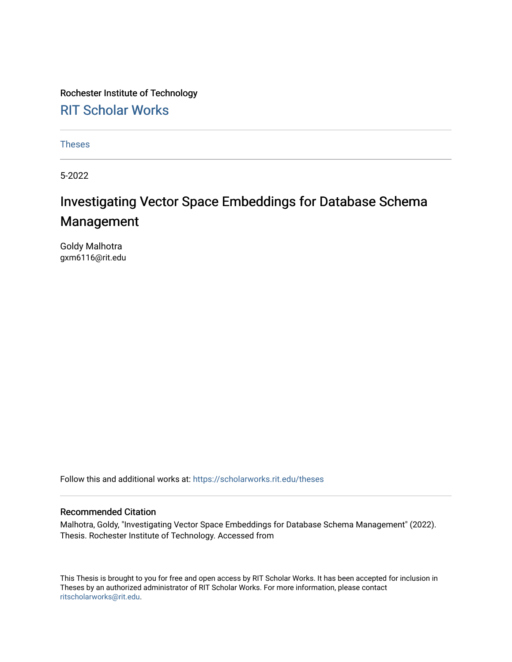Rochester Institute of Technology [RIT Scholar Works](https://scholarworks.rit.edu/)

[Theses](https://scholarworks.rit.edu/theses) 

5-2022

# Investigating Vector Space Embeddings for Database Schema Management

Goldy Malhotra gxm6116@rit.edu

Follow this and additional works at: [https://scholarworks.rit.edu/theses](https://scholarworks.rit.edu/theses?utm_source=scholarworks.rit.edu%2Ftheses%2F11080&utm_medium=PDF&utm_campaign=PDFCoverPages) 

#### Recommended Citation

Malhotra, Goldy, "Investigating Vector Space Embeddings for Database Schema Management" (2022). Thesis. Rochester Institute of Technology. Accessed from

This Thesis is brought to you for free and open access by RIT Scholar Works. It has been accepted for inclusion in Theses by an authorized administrator of RIT Scholar Works. For more information, please contact [ritscholarworks@rit.edu](mailto:ritscholarworks@rit.edu).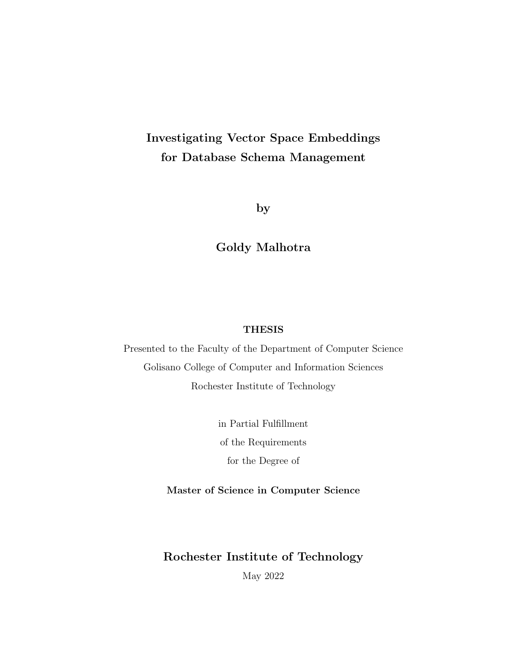# Investigating Vector Space Embeddings for Database Schema Management

by

### Goldy Malhotra

#### THESIS

Presented to the Faculty of the Department of Computer Science Golisano College of Computer and Information Sciences Rochester Institute of Technology

> in Partial Fulfillment of the Requirements for the Degree of

Master of Science in Computer Science

#### Rochester Institute of Technology

May 2022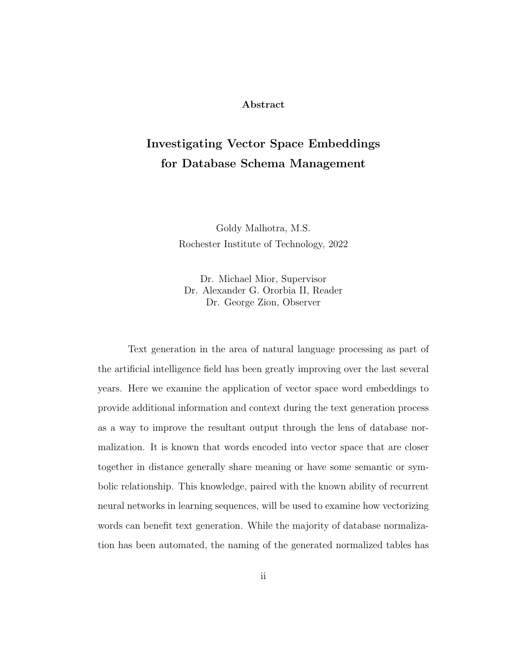#### Abstract

# Investigating Vector Space Embeddings for Database Schema Management

Goldy Malhotra, M.S. Rochester Institute of Technology, 2022

Dr. Michael Mior, Supervisor Dr. Alexander G. Ororbia II, Reader Dr. George Zion, Observer

Text generation in the area of natural language processing as part of the artificial intelligence field has been greatly improving over the last several years. Here we examine the application of vector space word embeddings to provide additional information and context during the text generation process as a way to improve the resultant output through the lens of database normalization. It is known that words encoded into vector space that are closer together in distance generally share meaning or have some semantic or symbolic relationship. This knowledge, paired with the known ability of recurrent neural networks in learning sequences, will be used to examine how vectorizing words can benefit text generation. While the majority of database normalization has been automated, the naming of the generated normalized tables has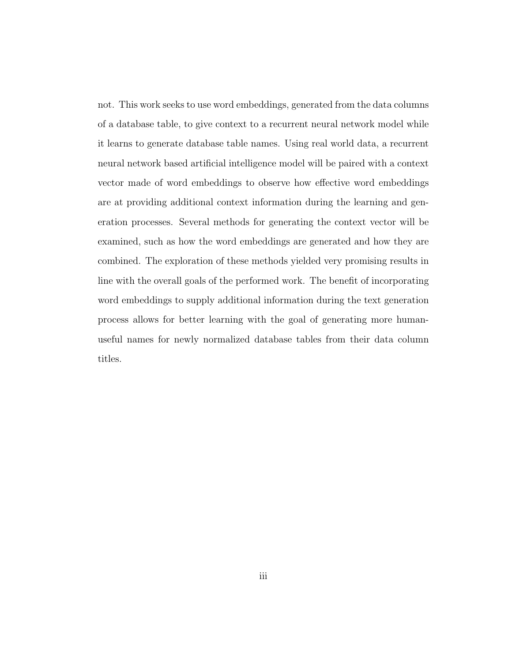not. This work seeks to use word embeddings, generated from the data columns of a database table, to give context to a recurrent neural network model while it learns to generate database table names. Using real world data, a recurrent neural network based artificial intelligence model will be paired with a context vector made of word embeddings to observe how effective word embeddings are at providing additional context information during the learning and generation processes. Several methods for generating the context vector will be examined, such as how the word embeddings are generated and how they are combined. The exploration of these methods yielded very promising results in line with the overall goals of the performed work. The benefit of incorporating word embeddings to supply additional information during the text generation process allows for better learning with the goal of generating more humanuseful names for newly normalized database tables from their data column titles.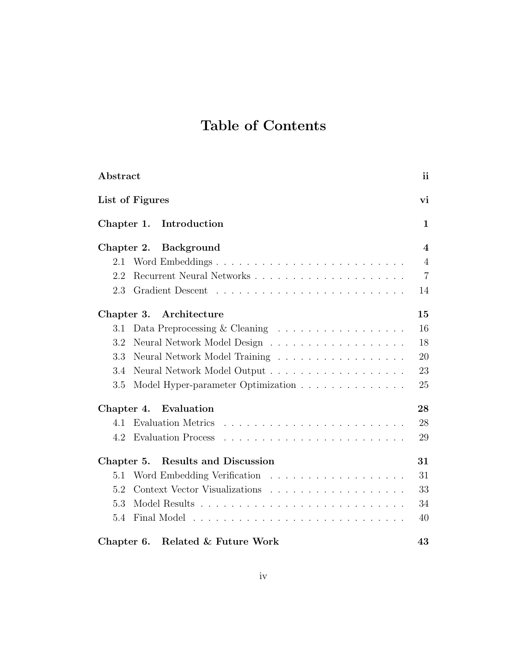# Table of Contents

| Abstract                                                                                                                                            | ii                      |  |  |  |  |  |
|-----------------------------------------------------------------------------------------------------------------------------------------------------|-------------------------|--|--|--|--|--|
| List of Figures<br>vi                                                                                                                               |                         |  |  |  |  |  |
| Introduction<br>Chapter 1.                                                                                                                          | $\mathbf 1$             |  |  |  |  |  |
| Chapter 2.<br><b>Background</b>                                                                                                                     | $\overline{\mathbf{4}}$ |  |  |  |  |  |
| 2.1<br>Word Embeddings                                                                                                                              | $\overline{4}$          |  |  |  |  |  |
| Recurrent Neural Networks<br>2.2                                                                                                                    | $\overline{7}$          |  |  |  |  |  |
| 2.3                                                                                                                                                 | 14                      |  |  |  |  |  |
| Architecture<br>Chapter 3.                                                                                                                          | 15                      |  |  |  |  |  |
| Data Preprocessing & Cleaning $\ldots \ldots \ldots \ldots \ldots$<br>3.1                                                                           | 16                      |  |  |  |  |  |
| 3.2                                                                                                                                                 | 18                      |  |  |  |  |  |
| 3.3<br>Neural Network Model Training                                                                                                                | 20                      |  |  |  |  |  |
| 3.4                                                                                                                                                 | 23                      |  |  |  |  |  |
| 3.5<br>Model Hyper-parameter Optimization                                                                                                           | 25                      |  |  |  |  |  |
| Chapter 4.<br>Evaluation                                                                                                                            | 28                      |  |  |  |  |  |
| <b>Evaluation Metrics</b><br>4.1                                                                                                                    | 28                      |  |  |  |  |  |
| <b>Evaluation Process</b><br>4.2<br>the contract of the contract of the contract of the contract of the contract of the contract of the contract of | 29                      |  |  |  |  |  |
| <b>Results and Discussion</b><br>Chapter 5.                                                                                                         | 31                      |  |  |  |  |  |
| 5.1                                                                                                                                                 | 31                      |  |  |  |  |  |
| 5.2                                                                                                                                                 | 33                      |  |  |  |  |  |
| 5.3                                                                                                                                                 | 34                      |  |  |  |  |  |
| 5.4                                                                                                                                                 | 40                      |  |  |  |  |  |
| Related & Future Work<br>Chapter 6.                                                                                                                 | 43                      |  |  |  |  |  |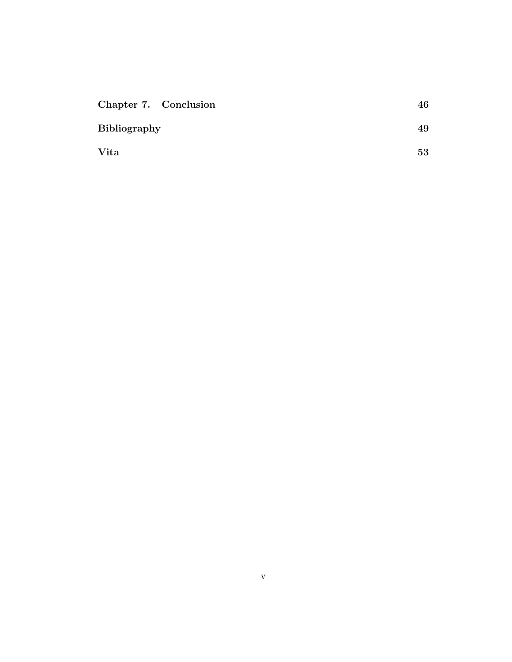| Chapter 7. Conclusion | 46 |
|-----------------------|----|
| <b>Bibliography</b>   | 49 |
| Vita                  | 53 |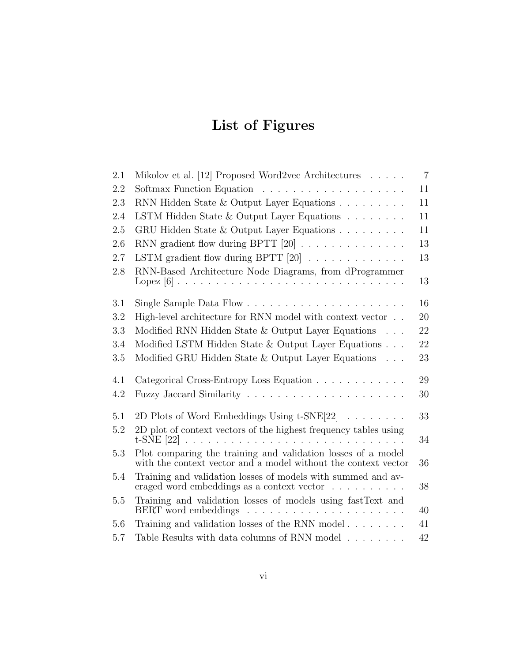# List of Figures

| 2.1     | Mikolov et al. [12] Proposed Word2vec Architectures $\dots$ .                                                                     | $\overline{7}$ |
|---------|-----------------------------------------------------------------------------------------------------------------------------------|----------------|
| 2.2     |                                                                                                                                   | 11             |
| 2.3     | RNN Hidden State & Output Layer Equations                                                                                         | 11             |
| 2.4     | LSTM Hidden State & Output Layer Equations                                                                                        | 11             |
| 2.5     | GRU Hidden State & Output Layer Equations                                                                                         | 11             |
| 2.6     | RNN gradient flow during BPTT $[20]$                                                                                              | 13             |
| 2.7     | LSTM gradient flow during BPTT [20]                                                                                               | 13             |
| 2.8     | RNN-Based Architecture Node Diagrams, from dProgrammer                                                                            | 13             |
| 3.1     |                                                                                                                                   | 16             |
| 3.2     | High-level architecture for RNN model with context vector                                                                         | 20             |
| 3.3     | Modified RNN Hidden State $&$ Output Layer Equations $\ldots$                                                                     | 22             |
| 3.4     | Modified LSTM Hidden State & Output Layer Equations                                                                               | 22             |
| 3.5     | Modified GRU Hidden State $&$ Output Layer Equations $\ldots$                                                                     | 23             |
| 4.1     | Categorical Cross-Entropy Loss Equation                                                                                           | 29             |
| 4.2     |                                                                                                                                   | 30             |
| 5.1     | 2D Plots of Word Embeddings Using $t$ -SNE[22]                                                                                    | 33             |
| 5.2     | 2D plot of context vectors of the highest frequency tables using                                                                  | 34             |
| 5.3     | Plot comparing the training and validation losses of a model<br>with the context vector and a model without the context vector    | 36             |
| 5.4     | Training and validation losses of models with summed and av-<br>eraged word embeddings as a context vector $\ldots \ldots \ldots$ | 38             |
| $5.5\,$ | Training and validation losses of models using fastText and                                                                       | 40             |
| 5.6     | Training and validation losses of the RNN model                                                                                   | 41             |
| 5.7     | Table Results with data columns of RNN model                                                                                      | 42             |
|         |                                                                                                                                   |                |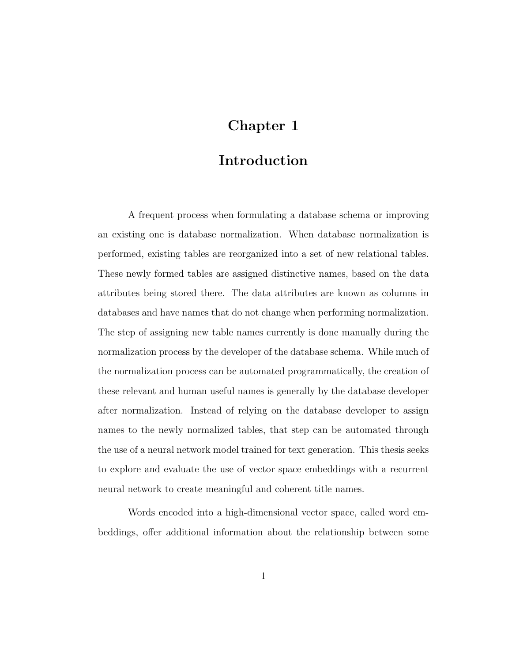## Chapter 1

### Introduction

A frequent process when formulating a database schema or improving an existing one is database normalization. When database normalization is performed, existing tables are reorganized into a set of new relational tables. These newly formed tables are assigned distinctive names, based on the data attributes being stored there. The data attributes are known as columns in databases and have names that do not change when performing normalization. The step of assigning new table names currently is done manually during the normalization process by the developer of the database schema. While much of the normalization process can be automated programmatically, the creation of these relevant and human useful names is generally by the database developer after normalization. Instead of relying on the database developer to assign names to the newly normalized tables, that step can be automated through the use of a neural network model trained for text generation. This thesis seeks to explore and evaluate the use of vector space embeddings with a recurrent neural network to create meaningful and coherent title names.

Words encoded into a high-dimensional vector space, called word embeddings, offer additional information about the relationship between some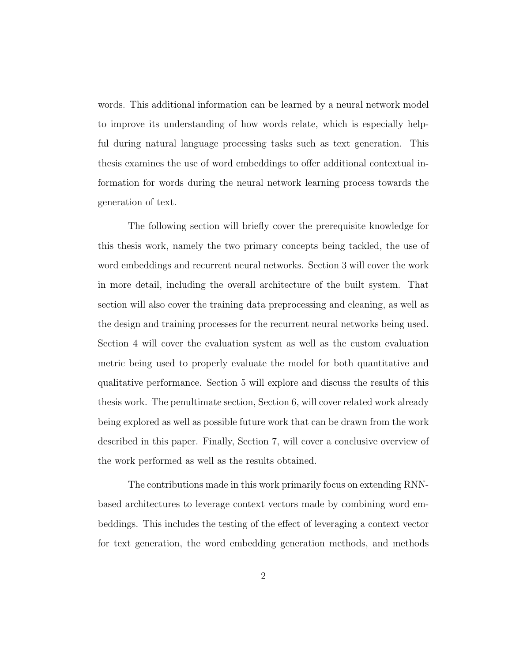words. This additional information can be learned by a neural network model to improve its understanding of how words relate, which is especially helpful during natural language processing tasks such as text generation. This thesis examines the use of word embeddings to offer additional contextual information for words during the neural network learning process towards the generation of text.

The following section will briefly cover the prerequisite knowledge for this thesis work, namely the two primary concepts being tackled, the use of word embeddings and recurrent neural networks. Section 3 will cover the work in more detail, including the overall architecture of the built system. That section will also cover the training data preprocessing and cleaning, as well as the design and training processes for the recurrent neural networks being used. Section 4 will cover the evaluation system as well as the custom evaluation metric being used to properly evaluate the model for both quantitative and qualitative performance. Section 5 will explore and discuss the results of this thesis work. The penultimate section, Section 6, will cover related work already being explored as well as possible future work that can be drawn from the work described in this paper. Finally, Section 7, will cover a conclusive overview of the work performed as well as the results obtained.

The contributions made in this work primarily focus on extending RNNbased architectures to leverage context vectors made by combining word embeddings. This includes the testing of the effect of leveraging a context vector for text generation, the word embedding generation methods, and methods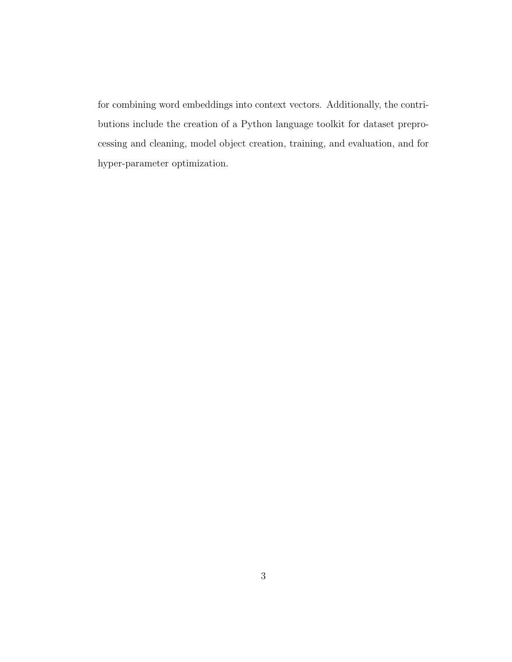for combining word embeddings into context vectors. Additionally, the contributions include the creation of a Python language toolkit for dataset preprocessing and cleaning, model object creation, training, and evaluation, and for hyper-parameter optimization.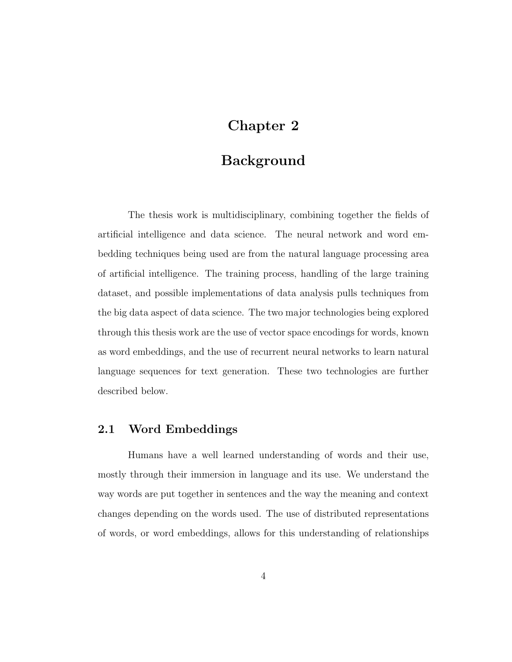## Chapter 2

### Background

The thesis work is multidisciplinary, combining together the fields of artificial intelligence and data science. The neural network and word embedding techniques being used are from the natural language processing area of artificial intelligence. The training process, handling of the large training dataset, and possible implementations of data analysis pulls techniques from the big data aspect of data science. The two major technologies being explored through this thesis work are the use of vector space encodings for words, known as word embeddings, and the use of recurrent neural networks to learn natural language sequences for text generation. These two technologies are further described below.

#### 2.1 Word Embeddings

Humans have a well learned understanding of words and their use, mostly through their immersion in language and its use. We understand the way words are put together in sentences and the way the meaning and context changes depending on the words used. The use of distributed representations of words, or word embeddings, allows for this understanding of relationships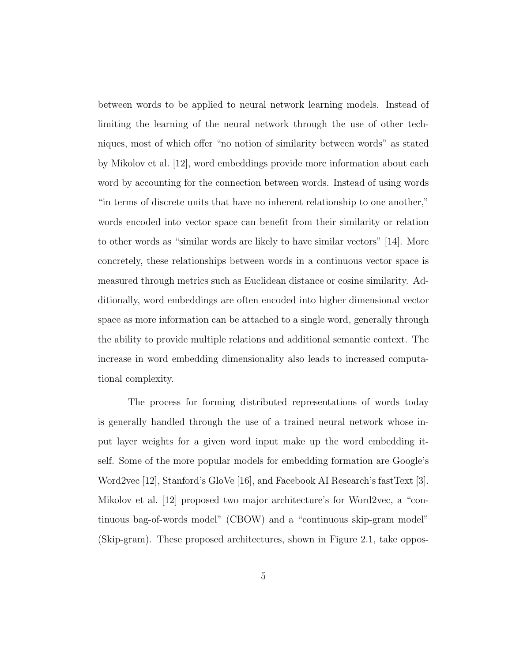between words to be applied to neural network learning models. Instead of limiting the learning of the neural network through the use of other techniques, most of which offer "no notion of similarity between words" as stated by Mikolov et al. [12], word embeddings provide more information about each word by accounting for the connection between words. Instead of using words "in terms of discrete units that have no inherent relationship to one another," words encoded into vector space can benefit from their similarity or relation to other words as "similar words are likely to have similar vectors" [14]. More concretely, these relationships between words in a continuous vector space is measured through metrics such as Euclidean distance or cosine similarity. Additionally, word embeddings are often encoded into higher dimensional vector space as more information can be attached to a single word, generally through the ability to provide multiple relations and additional semantic context. The increase in word embedding dimensionality also leads to increased computational complexity.

The process for forming distributed representations of words today is generally handled through the use of a trained neural network whose input layer weights for a given word input make up the word embedding itself. Some of the more popular models for embedding formation are Google's Word2vec [12], Stanford's GloVe [16], and Facebook AI Research's fastText [3]. Mikolov et al. [12] proposed two major architecture's for Word2vec, a "continuous bag-of-words model" (CBOW) and a "continuous skip-gram model" (Skip-gram). These proposed architectures, shown in Figure 2.1, take oppos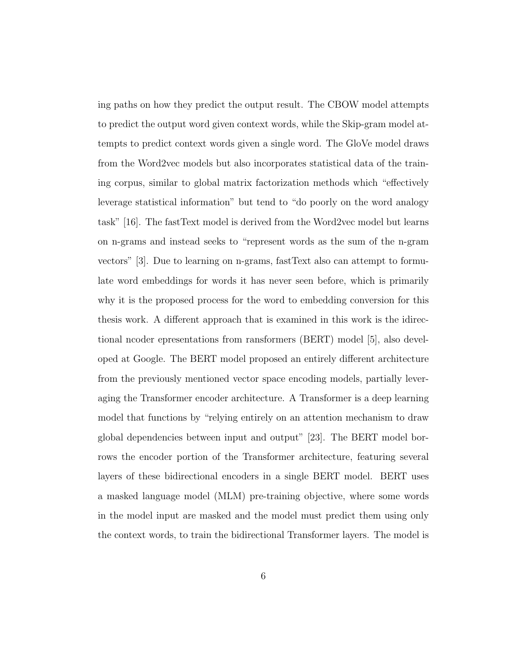ing paths on how they predict the output result. The CBOW model attempts to predict the output word given context words, while the Skip-gram model attempts to predict context words given a single word. The GloVe model draws from the Word2vec models but also incorporates statistical data of the training corpus, similar to global matrix factorization methods which "effectively leverage statistical information" but tend to "do poorly on the word analogy task" [16]. The fastText model is derived from the Word2vec model but learns on n-grams and instead seeks to "represent words as the sum of the n-gram vectors" [3]. Due to learning on n-grams, fastText also can attempt to formulate word embeddings for words it has never seen before, which is primarily why it is the proposed process for the word to embedding conversion for this thesis work. A different approach that is examined in this work is the idirectional ncoder epresentations from ransformers (BERT) model [5], also developed at Google. The BERT model proposed an entirely different architecture from the previously mentioned vector space encoding models, partially leveraging the Transformer encoder architecture. A Transformer is a deep learning model that functions by "relying entirely on an attention mechanism to draw global dependencies between input and output" [23]. The BERT model borrows the encoder portion of the Transformer architecture, featuring several layers of these bidirectional encoders in a single BERT model. BERT uses a masked language model (MLM) pre-training objective, where some words in the model input are masked and the model must predict them using only the context words, to train the bidirectional Transformer layers. The model is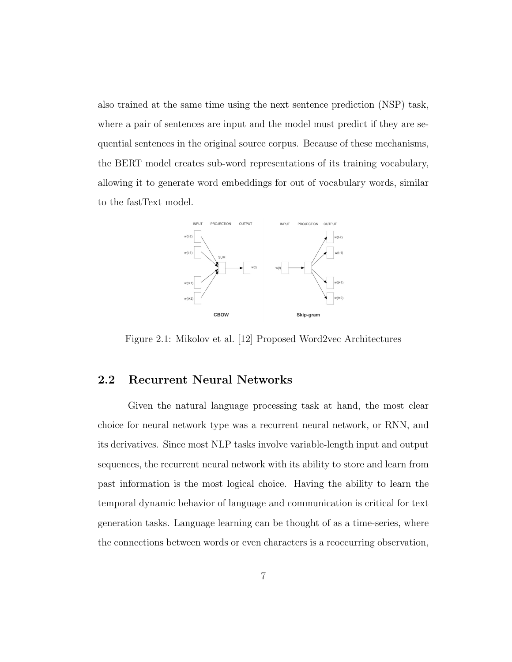also trained at the same time using the next sentence prediction (NSP) task, where a pair of sentences are input and the model must predict if they are sequential sentences in the original source corpus. Because of these mechanisms, the BERT model creates sub-word representations of its training vocabulary, allowing it to generate word embeddings for out of vocabulary words, similar to the fastText model.



Figure 2.1: Mikolov et al. [12] Proposed Word2vec Architectures

#### 2.2 Recurrent Neural Networks

Given the natural language processing task at hand, the most clear choice for neural network type was a recurrent neural network, or RNN, and its derivatives. Since most NLP tasks involve variable-length input and output sequences, the recurrent neural network with its ability to store and learn from past information is the most logical choice. Having the ability to learn the temporal dynamic behavior of language and communication is critical for text generation tasks. Language learning can be thought of as a time-series, where the connections between words or even characters is a reoccurring observation,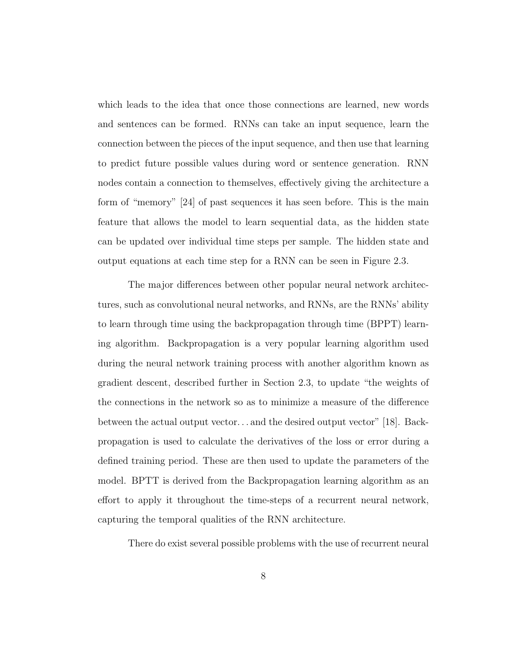which leads to the idea that once those connections are learned, new words and sentences can be formed. RNNs can take an input sequence, learn the connection between the pieces of the input sequence, and then use that learning to predict future possible values during word or sentence generation. RNN nodes contain a connection to themselves, effectively giving the architecture a form of "memory" [24] of past sequences it has seen before. This is the main feature that allows the model to learn sequential data, as the hidden state can be updated over individual time steps per sample. The hidden state and output equations at each time step for a RNN can be seen in Figure 2.3.

The major differences between other popular neural network architectures, such as convolutional neural networks, and RNNs, are the RNNs' ability to learn through time using the backpropagation through time (BPPT) learning algorithm. Backpropagation is a very popular learning algorithm used during the neural network training process with another algorithm known as gradient descent, described further in Section 2.3, to update "the weights of the connections in the network so as to minimize a measure of the difference between the actual output vector. . . and the desired output vector" [18]. Backpropagation is used to calculate the derivatives of the loss or error during a defined training period. These are then used to update the parameters of the model. BPTT is derived from the Backpropagation learning algorithm as an effort to apply it throughout the time-steps of a recurrent neural network, capturing the temporal qualities of the RNN architecture.

There do exist several possible problems with the use of recurrent neural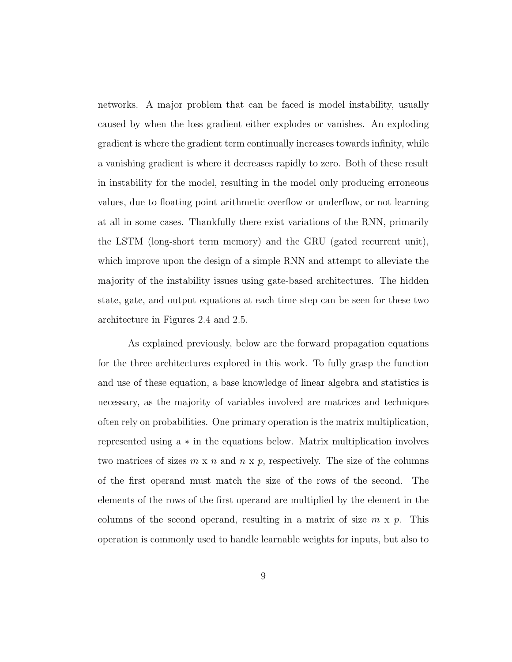networks. A major problem that can be faced is model instability, usually caused by when the loss gradient either explodes or vanishes. An exploding gradient is where the gradient term continually increases towards infinity, while a vanishing gradient is where it decreases rapidly to zero. Both of these result in instability for the model, resulting in the model only producing erroneous values, due to floating point arithmetic overflow or underflow, or not learning at all in some cases. Thankfully there exist variations of the RNN, primarily the LSTM (long-short term memory) and the GRU (gated recurrent unit), which improve upon the design of a simple RNN and attempt to alleviate the majority of the instability issues using gate-based architectures. The hidden state, gate, and output equations at each time step can be seen for these two architecture in Figures 2.4 and 2.5.

As explained previously, below are the forward propagation equations for the three architectures explored in this work. To fully grasp the function and use of these equation, a base knowledge of linear algebra and statistics is necessary, as the majority of variables involved are matrices and techniques often rely on probabilities. One primary operation is the matrix multiplication, represented using a ∗ in the equations below. Matrix multiplication involves two matrices of sizes  $m \times n$  and  $n \times p$ , respectively. The size of the columns of the first operand must match the size of the rows of the second. The elements of the rows of the first operand are multiplied by the element in the columns of the second operand, resulting in a matrix of size  $m \times p$ . This operation is commonly used to handle learnable weights for inputs, but also to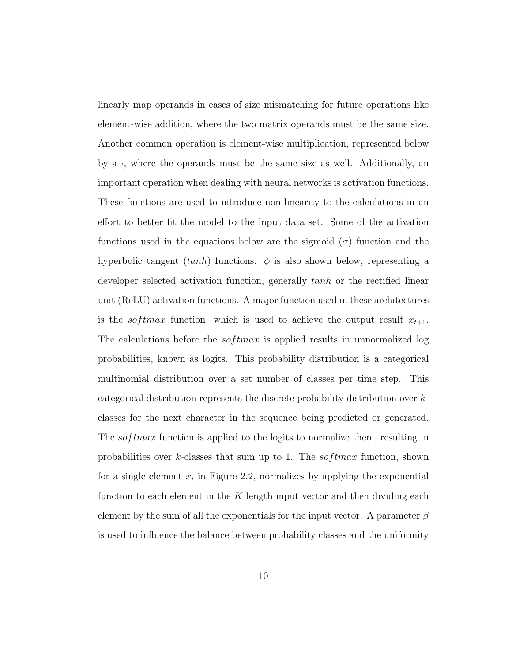linearly map operands in cases of size mismatching for future operations like element-wise addition, where the two matrix operands must be the same size. Another common operation is element-wise multiplication, represented below by  $a \cdot$ , where the operands must be the same size as well. Additionally, an important operation when dealing with neural networks is activation functions. These functions are used to introduce non-linearity to the calculations in an effort to better fit the model to the input data set. Some of the activation functions used in the equations below are the sigmoid ( $\sigma$ ) function and the hyperbolic tangent  $(tanh)$  functions.  $\phi$  is also shown below, representing a developer selected activation function, generally tanh or the rectified linear unit (ReLU) activation functions. A major function used in these architectures is the *softmax* function, which is used to achieve the output result  $x_{t+1}$ . The calculations before the  $softmax$  is applied results in unnormalized log probabilities, known as logits. This probability distribution is a categorical multinomial distribution over a set number of classes per time step. This categorical distribution represents the discrete probability distribution over kclasses for the next character in the sequence being predicted or generated. The softmax function is applied to the logits to normalize them, resulting in probabilities over k-classes that sum up to 1. The  $softmax$  function, shown for a single element  $x_i$  in Figure 2.2, normalizes by applying the exponential function to each element in the  $K$  length input vector and then dividing each element by the sum of all the exponentials for the input vector. A parameter  $\beta$ is used to influence the balance between probability classes and the uniformity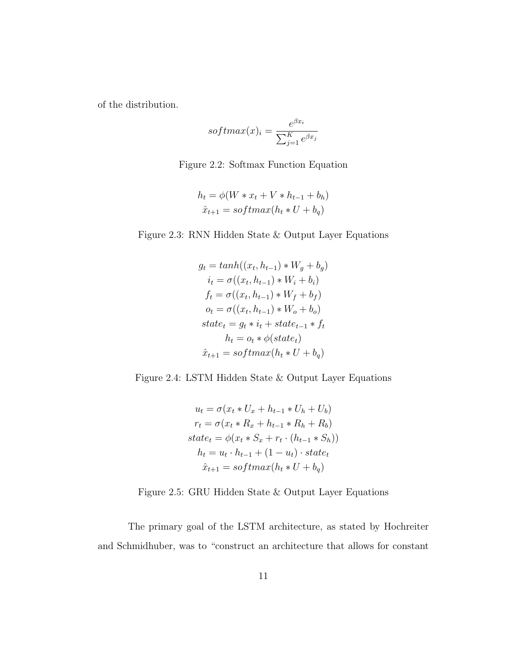of the distribution.

$$
softmax(x)_i = \frac{e^{\beta x_i}}{\sum_{j=1}^{K} e^{\beta x_j}}
$$

Figure 2.2: Softmax Function Equation

$$
h_t = \phi(W * x_t + V * h_{t-1} + b_h)
$$
  

$$
\hat{x}_{t+1} = softmax(h_t * U + b_q)
$$

Figure 2.3: RNN Hidden State & Output Layer Equations

$$
g_t = tanh((x_t, h_{t-1}) * W_g + b_g)
$$
  
\n
$$
i_t = \sigma((x_t, h_{t-1}) * W_i + b_i)
$$
  
\n
$$
f_t = \sigma((x_t, h_{t-1}) * W_f + b_f)
$$
  
\n
$$
o_t = \sigma((x_t, h_{t-1}) * W_o + b_o)
$$
  
\n
$$
state_t = g_t * i_t + state_{t-1} * f_t
$$
  
\n
$$
h_t = o_t * \phi(state_t)
$$
  
\n
$$
\hat{x}_{t+1} = softmax(h_t * U + b_g)
$$

Figure 2.4: LSTM Hidden State & Output Layer Equations

$$
u_t = \sigma(x_t * U_x + h_{t-1} * U_h + U_b)
$$
  
\n
$$
r_t = \sigma(x_t * R_x + h_{t-1} * R_h + R_b)
$$
  
\n
$$
state_t = \phi(x_t * S_x + r_t \cdot (h_{t-1} * S_h))
$$
  
\n
$$
h_t = u_t \cdot h_{t-1} + (1 - u_t) \cdot state_t
$$
  
\n
$$
\hat{x}_{t+1} = softmax(h_t * U + b_q)
$$

Figure 2.5: GRU Hidden State & Output Layer Equations

The primary goal of the LSTM architecture, as stated by Hochreiter and Schmidhuber, was to "construct an architecture that allows for constant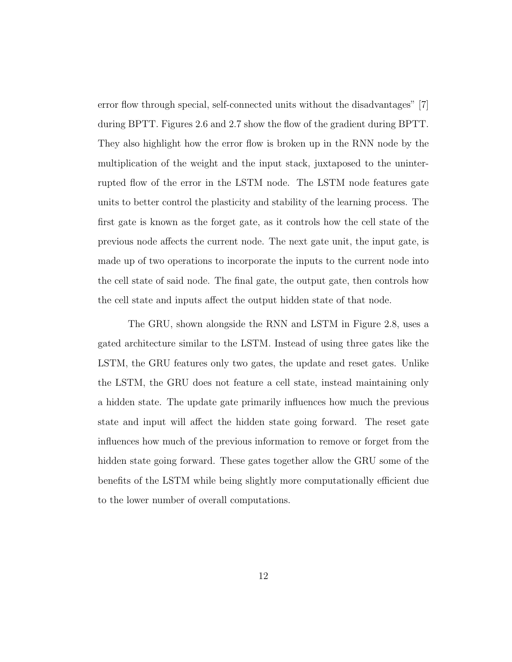error flow through special, self-connected units without the disadvantages" [7] during BPTT. Figures 2.6 and 2.7 show the flow of the gradient during BPTT. They also highlight how the error flow is broken up in the RNN node by the multiplication of the weight and the input stack, juxtaposed to the uninterrupted flow of the error in the LSTM node. The LSTM node features gate units to better control the plasticity and stability of the learning process. The first gate is known as the forget gate, as it controls how the cell state of the previous node affects the current node. The next gate unit, the input gate, is made up of two operations to incorporate the inputs to the current node into the cell state of said node. The final gate, the output gate, then controls how the cell state and inputs affect the output hidden state of that node.

The GRU, shown alongside the RNN and LSTM in Figure 2.8, uses a gated architecture similar to the LSTM. Instead of using three gates like the LSTM, the GRU features only two gates, the update and reset gates. Unlike the LSTM, the GRU does not feature a cell state, instead maintaining only a hidden state. The update gate primarily influences how much the previous state and input will affect the hidden state going forward. The reset gate influences how much of the previous information to remove or forget from the hidden state going forward. These gates together allow the GRU some of the benefits of the LSTM while being slightly more computationally efficient due to the lower number of overall computations.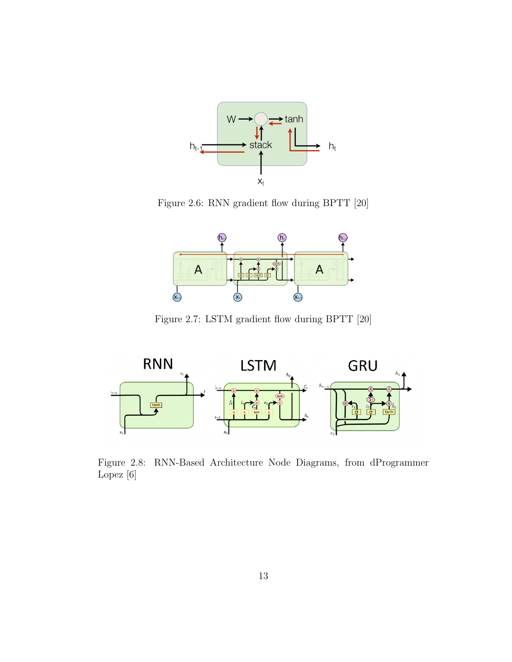

Figure 2.6: RNN gradient flow during BPTT [20]



Figure 2.7: LSTM gradient flow during BPTT [20]



Figure 2.8: RNN-Based Architecture Node Diagrams, from dProgrammer Lopez [6]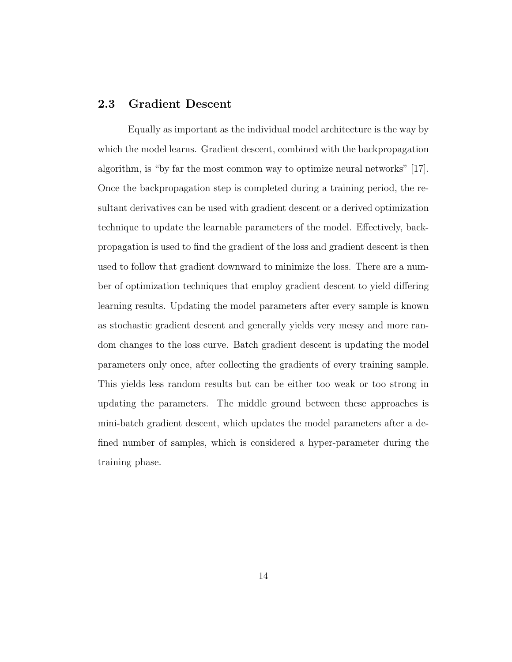#### 2.3 Gradient Descent

Equally as important as the individual model architecture is the way by which the model learns. Gradient descent, combined with the backpropagation algorithm, is "by far the most common way to optimize neural networks" [17]. Once the backpropagation step is completed during a training period, the resultant derivatives can be used with gradient descent or a derived optimization technique to update the learnable parameters of the model. Effectively, backpropagation is used to find the gradient of the loss and gradient descent is then used to follow that gradient downward to minimize the loss. There are a number of optimization techniques that employ gradient descent to yield differing learning results. Updating the model parameters after every sample is known as stochastic gradient descent and generally yields very messy and more random changes to the loss curve. Batch gradient descent is updating the model parameters only once, after collecting the gradients of every training sample. This yields less random results but can be either too weak or too strong in updating the parameters. The middle ground between these approaches is mini-batch gradient descent, which updates the model parameters after a defined number of samples, which is considered a hyper-parameter during the training phase.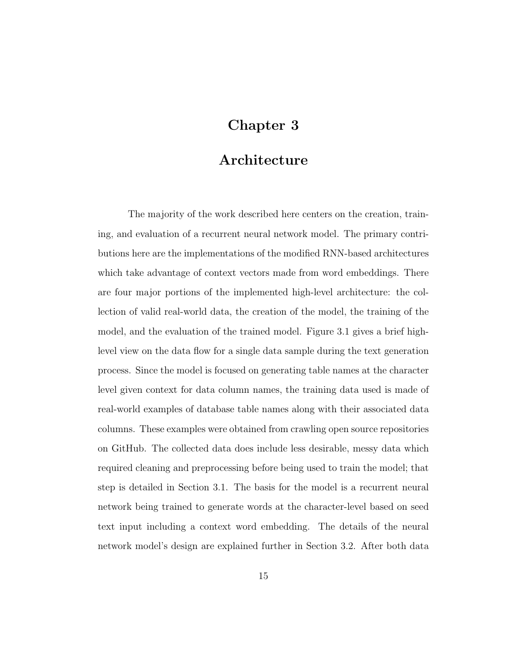## Chapter 3

### Architecture

The majority of the work described here centers on the creation, training, and evaluation of a recurrent neural network model. The primary contributions here are the implementations of the modified RNN-based architectures which take advantage of context vectors made from word embeddings. There are four major portions of the implemented high-level architecture: the collection of valid real-world data, the creation of the model, the training of the model, and the evaluation of the trained model. Figure 3.1 gives a brief highlevel view on the data flow for a single data sample during the text generation process. Since the model is focused on generating table names at the character level given context for data column names, the training data used is made of real-world examples of database table names along with their associated data columns. These examples were obtained from crawling open source repositories on GitHub. The collected data does include less desirable, messy data which required cleaning and preprocessing before being used to train the model; that step is detailed in Section 3.1. The basis for the model is a recurrent neural network being trained to generate words at the character-level based on seed text input including a context word embedding. The details of the neural network model's design are explained further in Section 3.2. After both data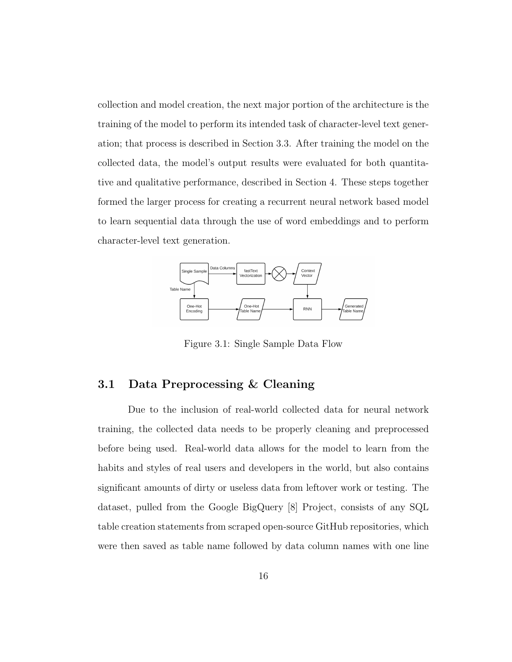collection and model creation, the next major portion of the architecture is the training of the model to perform its intended task of character-level text generation; that process is described in Section 3.3. After training the model on the collected data, the model's output results were evaluated for both quantitative and qualitative performance, described in Section 4. These steps together formed the larger process for creating a recurrent neural network based model to learn sequential data through the use of word embeddings and to perform character-level text generation.



Figure 3.1: Single Sample Data Flow

#### 3.1 Data Preprocessing & Cleaning

Due to the inclusion of real-world collected data for neural network training, the collected data needs to be properly cleaning and preprocessed before being used. Real-world data allows for the model to learn from the habits and styles of real users and developers in the world, but also contains significant amounts of dirty or useless data from leftover work or testing. The dataset, pulled from the Google BigQuery [8] Project, consists of any SQL table creation statements from scraped open-source GitHub repositories, which were then saved as table name followed by data column names with one line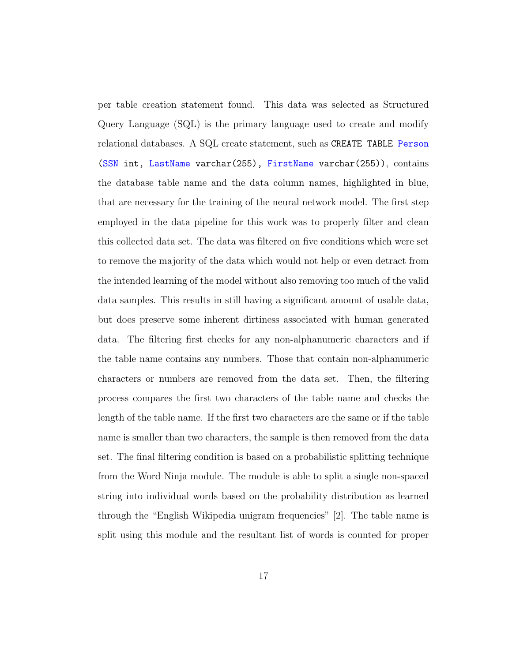per table creation statement found. This data was selected as Structured Query Language (SQL) is the primary language used to create and modify relational databases. A SQL create statement, such as CREATE TABLE Person (SSN int, LastName varchar(255), FirstName varchar(255)), contains the database table name and the data column names, highlighted in blue, that are necessary for the training of the neural network model. The first step employed in the data pipeline for this work was to properly filter and clean this collected data set. The data was filtered on five conditions which were set to remove the majority of the data which would not help or even detract from the intended learning of the model without also removing too much of the valid data samples. This results in still having a significant amount of usable data, but does preserve some inherent dirtiness associated with human generated data. The filtering first checks for any non-alphanumeric characters and if the table name contains any numbers. Those that contain non-alphanumeric characters or numbers are removed from the data set. Then, the filtering process compares the first two characters of the table name and checks the length of the table name. If the first two characters are the same or if the table name is smaller than two characters, the sample is then removed from the data set. The final filtering condition is based on a probabilistic splitting technique from the Word Ninja module. The module is able to split a single non-spaced string into individual words based on the probability distribution as learned through the "English Wikipedia unigram frequencies" [2]. The table name is split using this module and the resultant list of words is counted for proper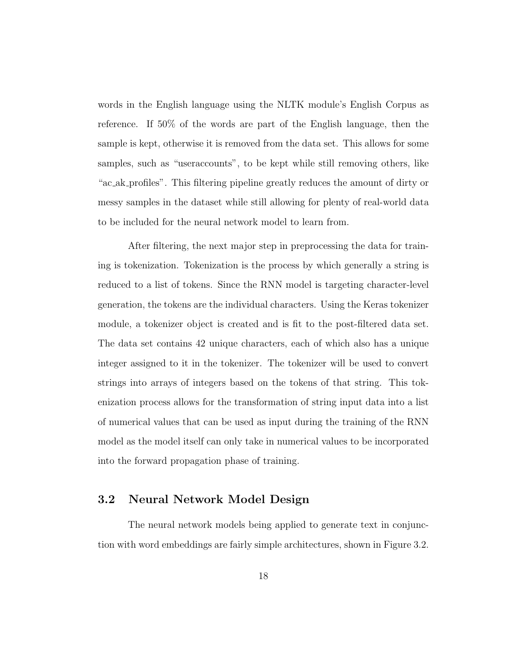words in the English language using the NLTK module's English Corpus as reference. If 50% of the words are part of the English language, then the sample is kept, otherwise it is removed from the data set. This allows for some samples, such as "useraccounts", to be kept while still removing others, like "ac ak profiles". This filtering pipeline greatly reduces the amount of dirty or messy samples in the dataset while still allowing for plenty of real-world data to be included for the neural network model to learn from.

After filtering, the next major step in preprocessing the data for training is tokenization. Tokenization is the process by which generally a string is reduced to a list of tokens. Since the RNN model is targeting character-level generation, the tokens are the individual characters. Using the Keras tokenizer module, a tokenizer object is created and is fit to the post-filtered data set. The data set contains 42 unique characters, each of which also has a unique integer assigned to it in the tokenizer. The tokenizer will be used to convert strings into arrays of integers based on the tokens of that string. This tokenization process allows for the transformation of string input data into a list of numerical values that can be used as input during the training of the RNN model as the model itself can only take in numerical values to be incorporated into the forward propagation phase of training.

#### 3.2 Neural Network Model Design

The neural network models being applied to generate text in conjunction with word embeddings are fairly simple architectures, shown in Figure 3.2.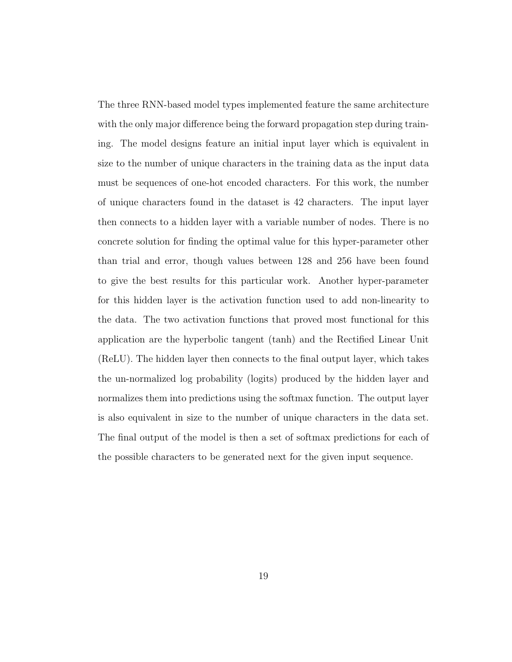The three RNN-based model types implemented feature the same architecture with the only major difference being the forward propagation step during training. The model designs feature an initial input layer which is equivalent in size to the number of unique characters in the training data as the input data must be sequences of one-hot encoded characters. For this work, the number of unique characters found in the dataset is 42 characters. The input layer then connects to a hidden layer with a variable number of nodes. There is no concrete solution for finding the optimal value for this hyper-parameter other than trial and error, though values between 128 and 256 have been found to give the best results for this particular work. Another hyper-parameter for this hidden layer is the activation function used to add non-linearity to the data. The two activation functions that proved most functional for this application are the hyperbolic tangent (tanh) and the Rectified Linear Unit (ReLU). The hidden layer then connects to the final output layer, which takes the un-normalized log probability (logits) produced by the hidden layer and normalizes them into predictions using the softmax function. The output layer is also equivalent in size to the number of unique characters in the data set. The final output of the model is then a set of softmax predictions for each of the possible characters to be generated next for the given input sequence.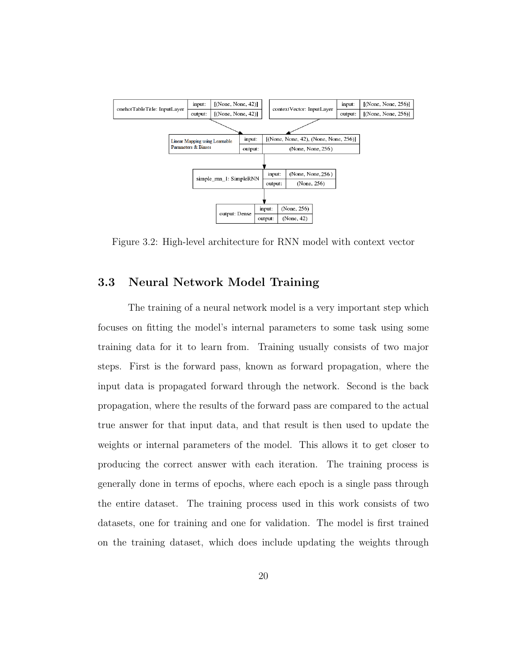

Figure 3.2: High-level architecture for RNN model with context vector

#### 3.3 Neural Network Model Training

The training of a neural network model is a very important step which focuses on fitting the model's internal parameters to some task using some training data for it to learn from. Training usually consists of two major steps. First is the forward pass, known as forward propagation, where the input data is propagated forward through the network. Second is the back propagation, where the results of the forward pass are compared to the actual true answer for that input data, and that result is then used to update the weights or internal parameters of the model. This allows it to get closer to producing the correct answer with each iteration. The training process is generally done in terms of epochs, where each epoch is a single pass through the entire dataset. The training process used in this work consists of two datasets, one for training and one for validation. The model is first trained on the training dataset, which does include updating the weights through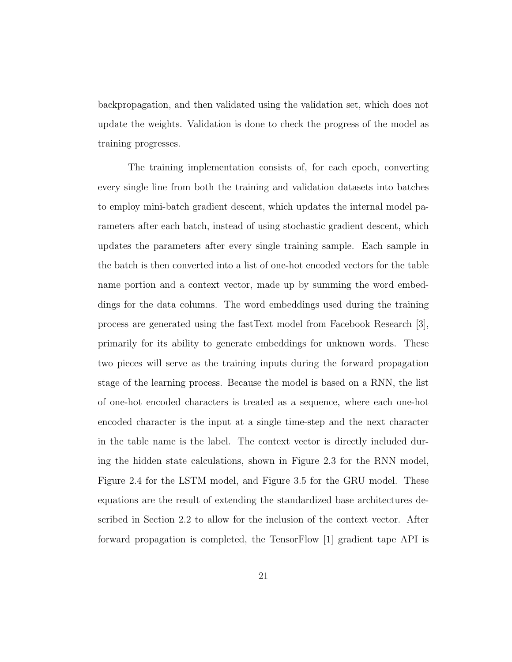backpropagation, and then validated using the validation set, which does not update the weights. Validation is done to check the progress of the model as training progresses.

The training implementation consists of, for each epoch, converting every single line from both the training and validation datasets into batches to employ mini-batch gradient descent, which updates the internal model parameters after each batch, instead of using stochastic gradient descent, which updates the parameters after every single training sample. Each sample in the batch is then converted into a list of one-hot encoded vectors for the table name portion and a context vector, made up by summing the word embeddings for the data columns. The word embeddings used during the training process are generated using the fastText model from Facebook Research [3], primarily for its ability to generate embeddings for unknown words. These two pieces will serve as the training inputs during the forward propagation stage of the learning process. Because the model is based on a RNN, the list of one-hot encoded characters is treated as a sequence, where each one-hot encoded character is the input at a single time-step and the next character in the table name is the label. The context vector is directly included during the hidden state calculations, shown in Figure 2.3 for the RNN model, Figure 2.4 for the LSTM model, and Figure 3.5 for the GRU model. These equations are the result of extending the standardized base architectures described in Section 2.2 to allow for the inclusion of the context vector. After forward propagation is completed, the TensorFlow [1] gradient tape API is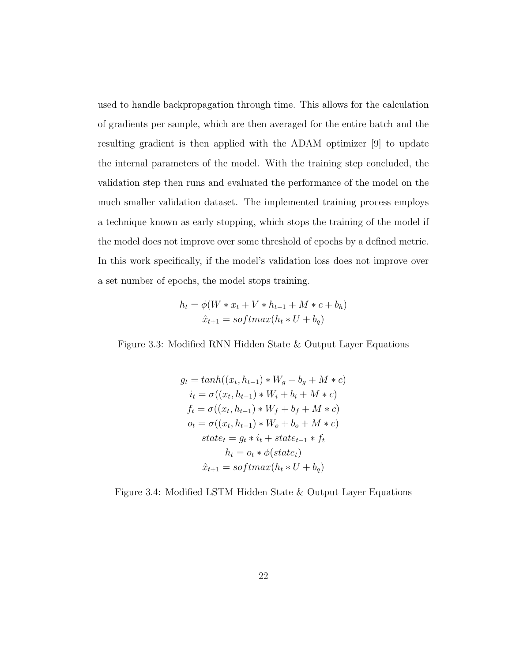used to handle backpropagation through time. This allows for the calculation of gradients per sample, which are then averaged for the entire batch and the resulting gradient is then applied with the ADAM optimizer [9] to update the internal parameters of the model. With the training step concluded, the validation step then runs and evaluated the performance of the model on the much smaller validation dataset. The implemented training process employs a technique known as early stopping, which stops the training of the model if the model does not improve over some threshold of epochs by a defined metric. In this work specifically, if the model's validation loss does not improve over a set number of epochs, the model stops training.

$$
h_t = \phi(W * x_t + V * h_{t-1} + M * c + b_h)
$$

$$
\hat{x}_{t+1} = softmax(h_t * U + b_q)
$$

Figure 3.3: Modified RNN Hidden State & Output Layer Equations

$$
g_t = tanh((x_t, h_{t-1}) * W_g + b_g + M * c)
$$
  
\n
$$
i_t = \sigma((x_t, h_{t-1}) * W_i + b_i + M * c)
$$
  
\n
$$
f_t = \sigma((x_t, h_{t-1}) * W_f + b_f + M * c)
$$
  
\n
$$
o_t = \sigma((x_t, h_{t-1}) * W_o + b_o + M * c)
$$
  
\n
$$
state_t = g_t * i_t + state_{t-1} * f_t
$$
  
\n
$$
h_t = o_t * \phi(state_t)
$$
  
\n
$$
\hat{x}_{t+1} = softmax(h_t * U + b_q)
$$

Figure 3.4: Modified LSTM Hidden State & Output Layer Equations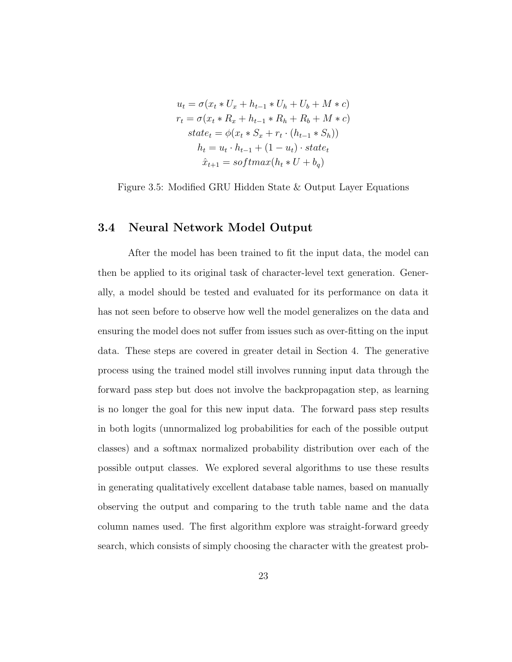$$
u_t = \sigma(x_t * U_x + h_{t-1} * U_h + U_b + M * c)
$$
  
\n
$$
r_t = \sigma(x_t * R_x + h_{t-1} * R_h + R_b + M * c)
$$
  
\n
$$
state_t = \phi(x_t * S_x + r_t \cdot (h_{t-1} * S_h))
$$
  
\n
$$
h_t = u_t \cdot h_{t-1} + (1 - u_t) \cdot state_t
$$
  
\n
$$
\hat{x}_{t+1} = softmax(h_t * U + b_q)
$$

Figure 3.5: Modified GRU Hidden State & Output Layer Equations

#### 3.4 Neural Network Model Output

After the model has been trained to fit the input data, the model can then be applied to its original task of character-level text generation. Generally, a model should be tested and evaluated for its performance on data it has not seen before to observe how well the model generalizes on the data and ensuring the model does not suffer from issues such as over-fitting on the input data. These steps are covered in greater detail in Section 4. The generative process using the trained model still involves running input data through the forward pass step but does not involve the backpropagation step, as learning is no longer the goal for this new input data. The forward pass step results in both logits (unnormalized log probabilities for each of the possible output classes) and a softmax normalized probability distribution over each of the possible output classes. We explored several algorithms to use these results in generating qualitatively excellent database table names, based on manually observing the output and comparing to the truth table name and the data column names used. The first algorithm explore was straight-forward greedy search, which consists of simply choosing the character with the greatest prob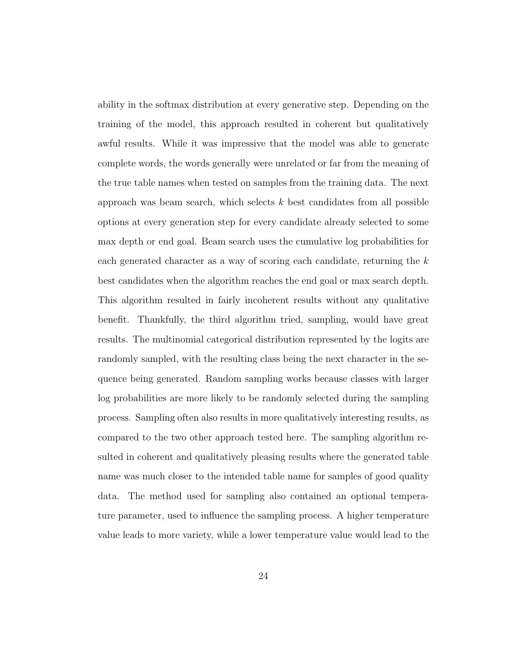ability in the softmax distribution at every generative step. Depending on the training of the model, this approach resulted in coherent but qualitatively awful results. While it was impressive that the model was able to generate complete words, the words generally were unrelated or far from the meaning of the true table names when tested on samples from the training data. The next approach was beam search, which selects  $k$  best candidates from all possible options at every generation step for every candidate already selected to some max depth or end goal. Beam search uses the cumulative log probabilities for each generated character as a way of scoring each candidate, returning the k best candidates when the algorithm reaches the end goal or max search depth. This algorithm resulted in fairly incoherent results without any qualitative benefit. Thankfully, the third algorithm tried, sampling, would have great results. The multinomial categorical distribution represented by the logits are randomly sampled, with the resulting class being the next character in the sequence being generated. Random sampling works because classes with larger log probabilities are more likely to be randomly selected during the sampling process. Sampling often also results in more qualitatively interesting results, as compared to the two other approach tested here. The sampling algorithm resulted in coherent and qualitatively pleasing results where the generated table name was much closer to the intended table name for samples of good quality data. The method used for sampling also contained an optional temperature parameter, used to influence the sampling process. A higher temperature value leads to more variety, while a lower temperature value would lead to the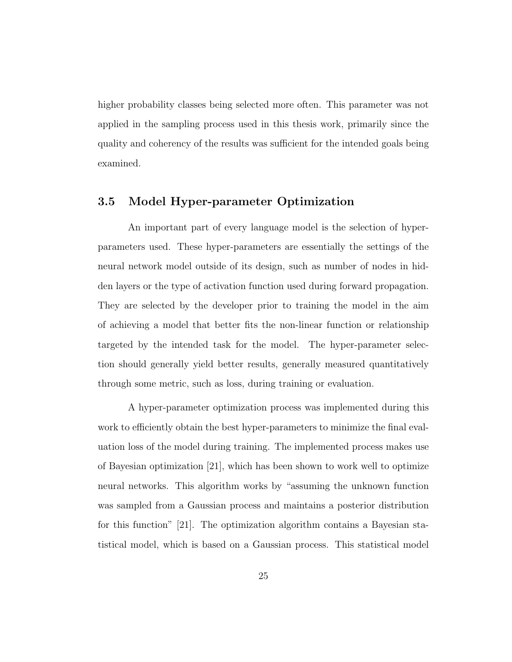higher probability classes being selected more often. This parameter was not applied in the sampling process used in this thesis work, primarily since the quality and coherency of the results was sufficient for the intended goals being examined.

#### 3.5 Model Hyper-parameter Optimization

An important part of every language model is the selection of hyperparameters used. These hyper-parameters are essentially the settings of the neural network model outside of its design, such as number of nodes in hidden layers or the type of activation function used during forward propagation. They are selected by the developer prior to training the model in the aim of achieving a model that better fits the non-linear function or relationship targeted by the intended task for the model. The hyper-parameter selection should generally yield better results, generally measured quantitatively through some metric, such as loss, during training or evaluation.

A hyper-parameter optimization process was implemented during this work to efficiently obtain the best hyper-parameters to minimize the final evaluation loss of the model during training. The implemented process makes use of Bayesian optimization [21], which has been shown to work well to optimize neural networks. This algorithm works by "assuming the unknown function was sampled from a Gaussian process and maintains a posterior distribution for this function" [21]. The optimization algorithm contains a Bayesian statistical model, which is based on a Gaussian process. This statistical model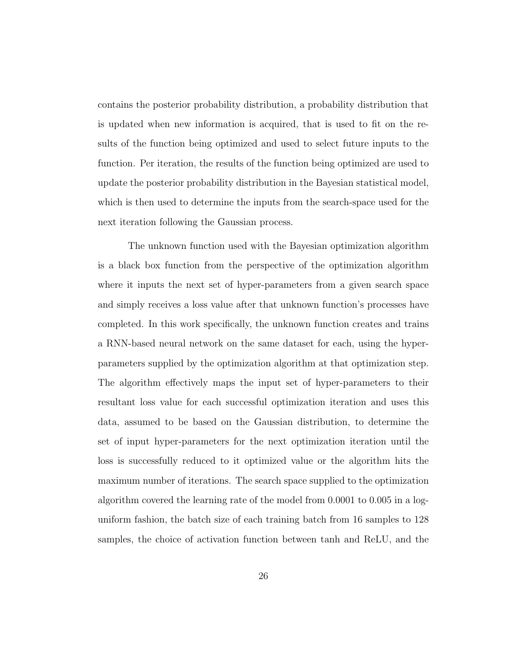contains the posterior probability distribution, a probability distribution that is updated when new information is acquired, that is used to fit on the results of the function being optimized and used to select future inputs to the function. Per iteration, the results of the function being optimized are used to update the posterior probability distribution in the Bayesian statistical model, which is then used to determine the inputs from the search-space used for the next iteration following the Gaussian process.

The unknown function used with the Bayesian optimization algorithm is a black box function from the perspective of the optimization algorithm where it inputs the next set of hyper-parameters from a given search space and simply receives a loss value after that unknown function's processes have completed. In this work specifically, the unknown function creates and trains a RNN-based neural network on the same dataset for each, using the hyperparameters supplied by the optimization algorithm at that optimization step. The algorithm effectively maps the input set of hyper-parameters to their resultant loss value for each successful optimization iteration and uses this data, assumed to be based on the Gaussian distribution, to determine the set of input hyper-parameters for the next optimization iteration until the loss is successfully reduced to it optimized value or the algorithm hits the maximum number of iterations. The search space supplied to the optimization algorithm covered the learning rate of the model from 0.0001 to 0.005 in a loguniform fashion, the batch size of each training batch from 16 samples to 128 samples, the choice of activation function between tanh and ReLU, and the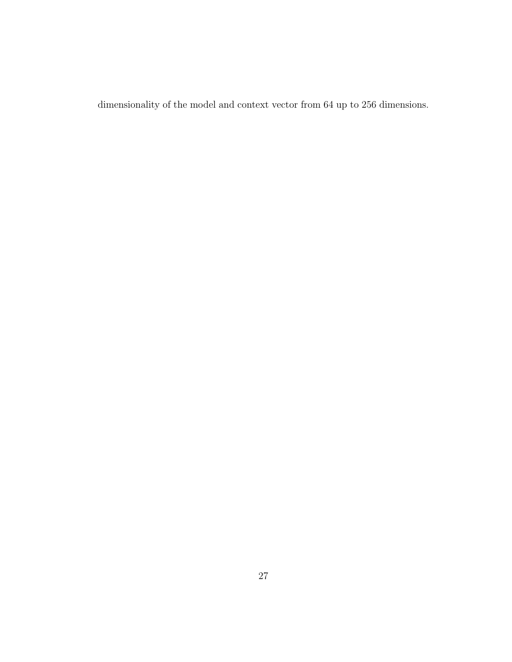dimensionality of the model and context vector from 64 up to 256 dimensions.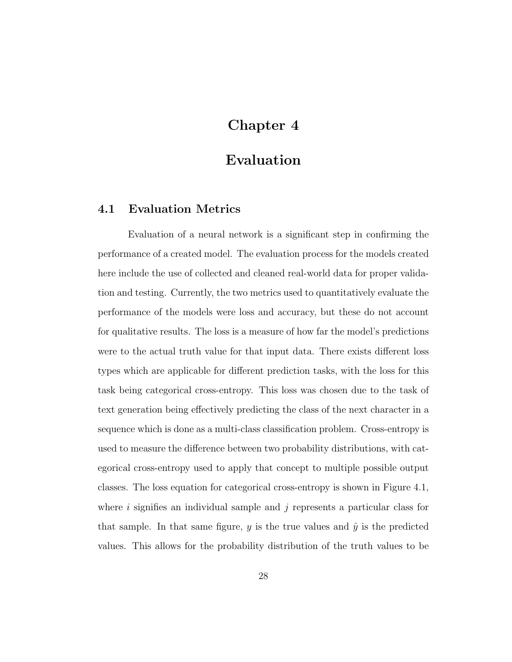### Chapter 4

## Evaluation

#### 4.1 Evaluation Metrics

Evaluation of a neural network is a significant step in confirming the performance of a created model. The evaluation process for the models created here include the use of collected and cleaned real-world data for proper validation and testing. Currently, the two metrics used to quantitatively evaluate the performance of the models were loss and accuracy, but these do not account for qualitative results. The loss is a measure of how far the model's predictions were to the actual truth value for that input data. There exists different loss types which are applicable for different prediction tasks, with the loss for this task being categorical cross-entropy. This loss was chosen due to the task of text generation being effectively predicting the class of the next character in a sequence which is done as a multi-class classification problem. Cross-entropy is used to measure the difference between two probability distributions, with categorical cross-entropy used to apply that concept to multiple possible output classes. The loss equation for categorical cross-entropy is shown in Figure 4.1, where i signifies an individual sample and  $j$  represents a particular class for that sample. In that same figure, y is the true values and  $\hat{y}$  is the predicted values. This allows for the probability distribution of the truth values to be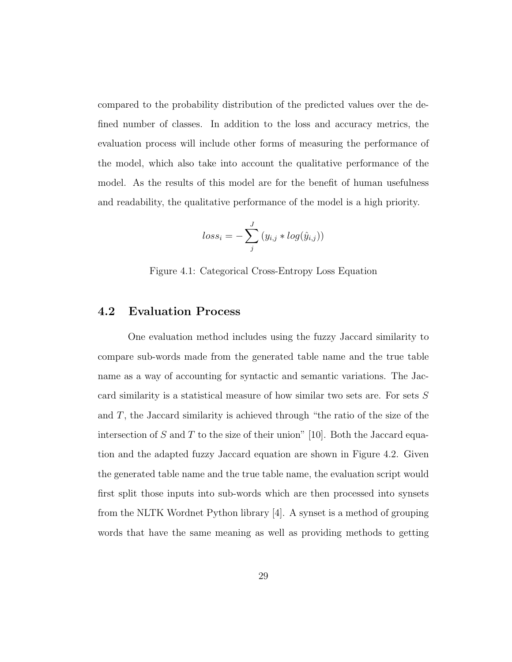compared to the probability distribution of the predicted values over the defined number of classes. In addition to the loss and accuracy metrics, the evaluation process will include other forms of measuring the performance of the model, which also take into account the qualitative performance of the model. As the results of this model are for the benefit of human usefulness and readability, the qualitative performance of the model is a high priority.

$$
loss_i = -\sum_{j}^{J} (y_{i,j} * log(\hat{y}_{i,j}))
$$

Figure 4.1: Categorical Cross-Entropy Loss Equation

#### 4.2 Evaluation Process

One evaluation method includes using the fuzzy Jaccard similarity to compare sub-words made from the generated table name and the true table name as a way of accounting for syntactic and semantic variations. The Jaccard similarity is a statistical measure of how similar two sets are. For sets S and T, the Jaccard similarity is achieved through "the ratio of the size of the intersection of S and T to the size of their union" [10]. Both the Jaccard equation and the adapted fuzzy Jaccard equation are shown in Figure 4.2. Given the generated table name and the true table name, the evaluation script would first split those inputs into sub-words which are then processed into synsets from the NLTK Wordnet Python library [4]. A synset is a method of grouping words that have the same meaning as well as providing methods to getting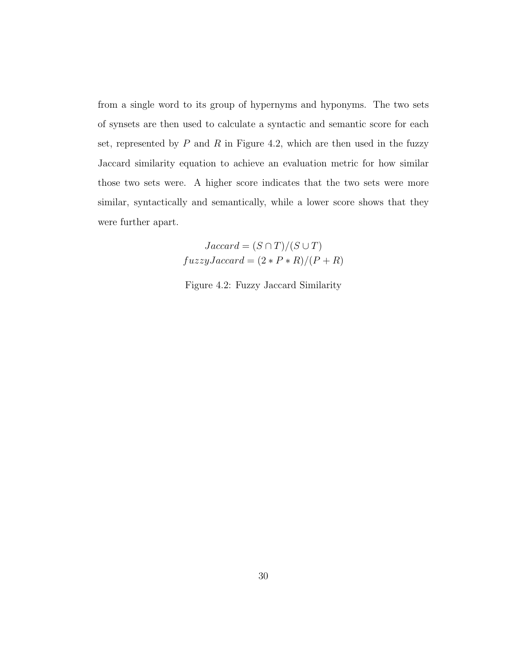from a single word to its group of hypernyms and hyponyms. The two sets of synsets are then used to calculate a syntactic and semantic score for each set, represented by  $P$  and  $R$  in Figure 4.2, which are then used in the fuzzy Jaccard similarity equation to achieve an evaluation metric for how similar those two sets were. A higher score indicates that the two sets were more similar, syntactically and semantically, while a lower score shows that they were further apart.

$$
Jaccard = (S \cap T)/(S \cup T)
$$

$$
fuzzyJaccard = (2 * P * R)/(P + R)
$$

Figure 4.2: Fuzzy Jaccard Similarity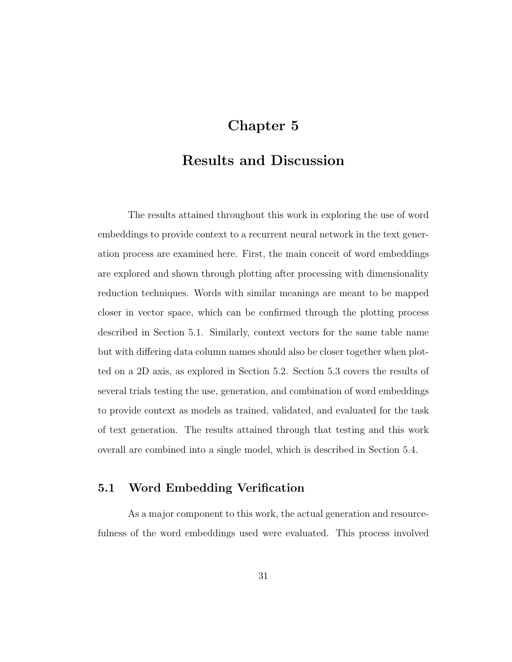### Chapter 5

### Results and Discussion

The results attained throughout this work in exploring the use of word embeddings to provide context to a recurrent neural network in the text generation process are examined here. First, the main conceit of word embeddings are explored and shown through plotting after processing with dimensionality reduction techniques. Words with similar meanings are meant to be mapped closer in vector space, which can be confirmed through the plotting process described in Section 5.1. Similarly, context vectors for the same table name but with differing data column names should also be closer together when plotted on a 2D axis, as explored in Section 5.2. Section 5.3 covers the results of several trials testing the use, generation, and combination of word embeddings to provide context as models as trained, validated, and evaluated for the task of text generation. The results attained through that testing and this work overall are combined into a single model, which is described in Section 5.4.

#### 5.1 Word Embedding Verification

As a major component to this work, the actual generation and resourcefulness of the word embeddings used were evaluated. This process involved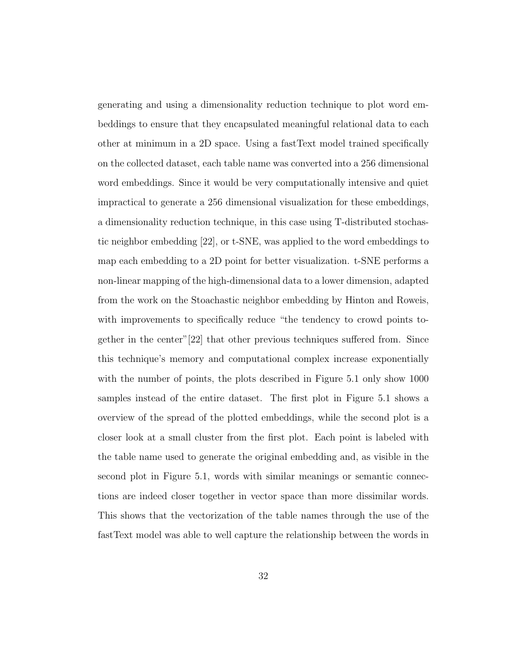generating and using a dimensionality reduction technique to plot word embeddings to ensure that they encapsulated meaningful relational data to each other at minimum in a 2D space. Using a fastText model trained specifically on the collected dataset, each table name was converted into a 256 dimensional word embeddings. Since it would be very computationally intensive and quiet impractical to generate a 256 dimensional visualization for these embeddings, a dimensionality reduction technique, in this case using T-distributed stochastic neighbor embedding [22], or t-SNE, was applied to the word embeddings to map each embedding to a 2D point for better visualization. t-SNE performs a non-linear mapping of the high-dimensional data to a lower dimension, adapted from the work on the Stoachastic neighbor embedding by Hinton and Roweis, with improvements to specifically reduce "the tendency to crowd points together in the center"[22] that other previous techniques suffered from. Since this technique's memory and computational complex increase exponentially with the number of points, the plots described in Figure 5.1 only show 1000 samples instead of the entire dataset. The first plot in Figure 5.1 shows a overview of the spread of the plotted embeddings, while the second plot is a closer look at a small cluster from the first plot. Each point is labeled with the table name used to generate the original embedding and, as visible in the second plot in Figure 5.1, words with similar meanings or semantic connections are indeed closer together in vector space than more dissimilar words. This shows that the vectorization of the table names through the use of the fastText model was able to well capture the relationship between the words in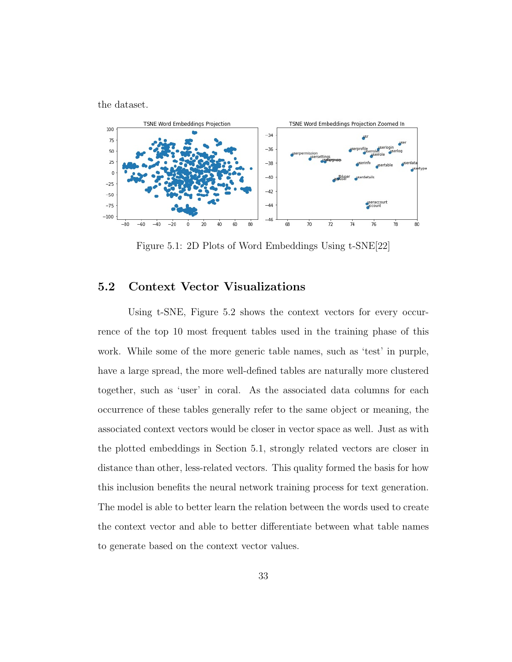the dataset.



Figure 5.1: 2D Plots of Word Embeddings Using t-SNE[22]

#### 5.2 Context Vector Visualizations

Using t-SNE, Figure 5.2 shows the context vectors for every occurrence of the top 10 most frequent tables used in the training phase of this work. While some of the more generic table names, such as 'test' in purple, have a large spread, the more well-defined tables are naturally more clustered together, such as 'user' in coral. As the associated data columns for each occurrence of these tables generally refer to the same object or meaning, the associated context vectors would be closer in vector space as well. Just as with the plotted embeddings in Section 5.1, strongly related vectors are closer in distance than other, less-related vectors. This quality formed the basis for how this inclusion benefits the neural network training process for text generation. The model is able to better learn the relation between the words used to create the context vector and able to better differentiate between what table names to generate based on the context vector values.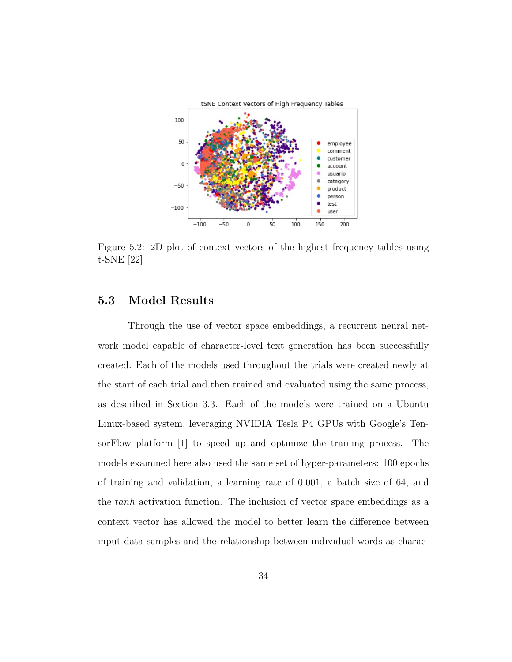

Figure 5.2: 2D plot of context vectors of the highest frequency tables using t-SNE [22]

### 5.3 Model Results

Through the use of vector space embeddings, a recurrent neural network model capable of character-level text generation has been successfully created. Each of the models used throughout the trials were created newly at the start of each trial and then trained and evaluated using the same process, as described in Section 3.3. Each of the models were trained on a Ubuntu Linux-based system, leveraging NVIDIA Tesla P4 GPUs with Google's TensorFlow platform [1] to speed up and optimize the training process. The models examined here also used the same set of hyper-parameters: 100 epochs of training and validation, a learning rate of 0.001, a batch size of 64, and the tanh activation function. The inclusion of vector space embeddings as a context vector has allowed the model to better learn the difference between input data samples and the relationship between individual words as charac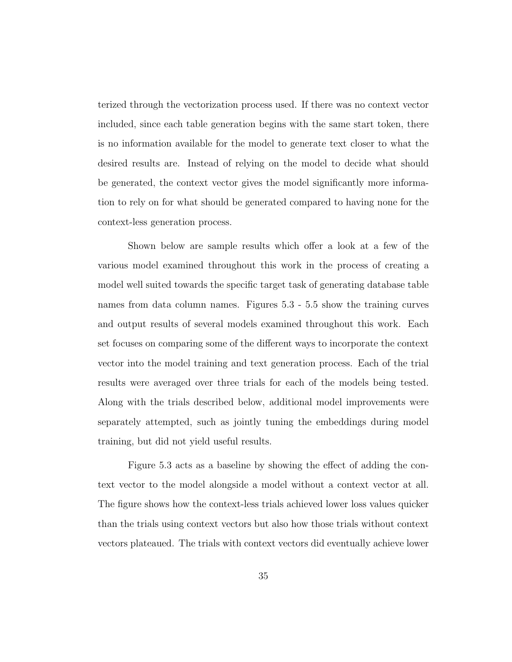terized through the vectorization process used. If there was no context vector included, since each table generation begins with the same start token, there is no information available for the model to generate text closer to what the desired results are. Instead of relying on the model to decide what should be generated, the context vector gives the model significantly more information to rely on for what should be generated compared to having none for the context-less generation process.

Shown below are sample results which offer a look at a few of the various model examined throughout this work in the process of creating a model well suited towards the specific target task of generating database table names from data column names. Figures 5.3 - 5.5 show the training curves and output results of several models examined throughout this work. Each set focuses on comparing some of the different ways to incorporate the context vector into the model training and text generation process. Each of the trial results were averaged over three trials for each of the models being tested. Along with the trials described below, additional model improvements were separately attempted, such as jointly tuning the embeddings during model training, but did not yield useful results.

Figure 5.3 acts as a baseline by showing the effect of adding the context vector to the model alongside a model without a context vector at all. The figure shows how the context-less trials achieved lower loss values quicker than the trials using context vectors but also how those trials without context vectors plateaued. The trials with context vectors did eventually achieve lower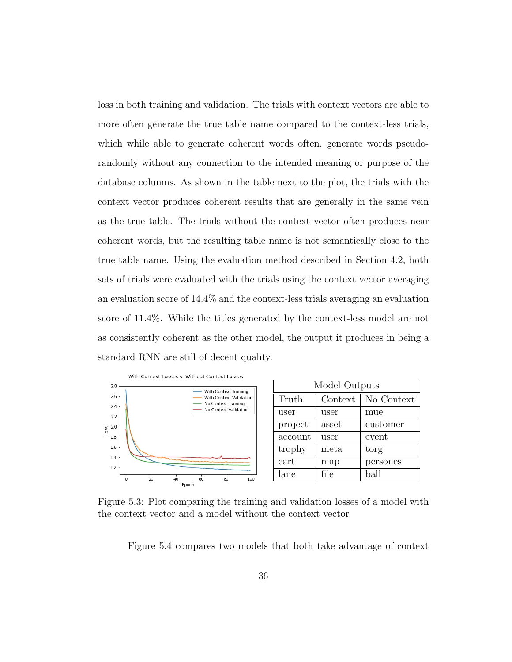loss in both training and validation. The trials with context vectors are able to more often generate the true table name compared to the context-less trials, which while able to generate coherent words often, generate words pseudorandomly without any connection to the intended meaning or purpose of the database columns. As shown in the table next to the plot, the trials with the context vector produces coherent results that are generally in the same vein as the true table. The trials without the context vector often produces near coherent words, but the resulting table name is not semantically close to the true table name. Using the evaluation method described in Section 4.2, both sets of trials were evaluated with the trials using the context vector averaging an evaluation score of 14.4% and the context-less trials averaging an evaluation score of 11.4%. While the titles generated by the context-less model are not as consistently coherent as the other model, the output it produces in being a standard RNN are still of decent quality.



Figure 5.3: Plot comparing the training and validation losses of a model with the context vector and a model without the context vector

Figure 5.4 compares two models that both take advantage of context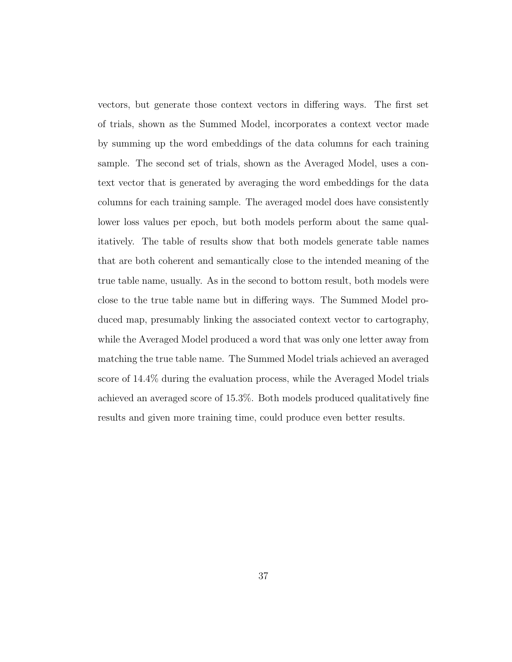vectors, but generate those context vectors in differing ways. The first set of trials, shown as the Summed Model, incorporates a context vector made by summing up the word embeddings of the data columns for each training sample. The second set of trials, shown as the Averaged Model, uses a context vector that is generated by averaging the word embeddings for the data columns for each training sample. The averaged model does have consistently lower loss values per epoch, but both models perform about the same qualitatively. The table of results show that both models generate table names that are both coherent and semantically close to the intended meaning of the true table name, usually. As in the second to bottom result, both models were close to the true table name but in differing ways. The Summed Model produced map, presumably linking the associated context vector to cartography, while the Averaged Model produced a word that was only one letter away from matching the true table name. The Summed Model trials achieved an averaged score of 14.4% during the evaluation process, while the Averaged Model trials achieved an averaged score of 15.3%. Both models produced qualitatively fine results and given more training time, could produce even better results.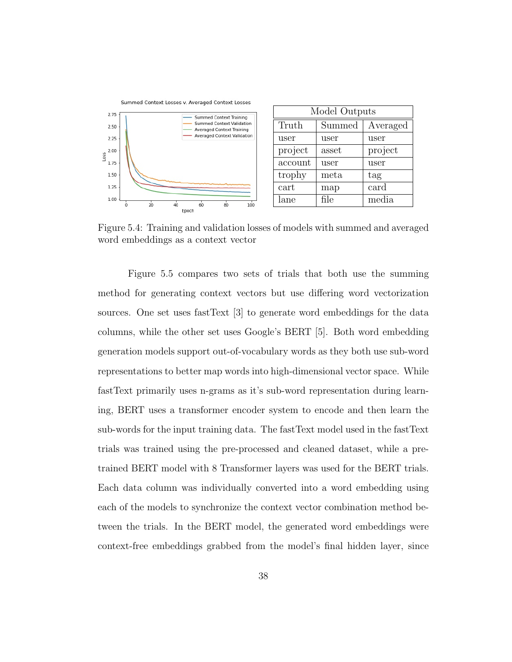

Figure 5.4: Training and validation losses of models with summed and averaged word embeddings as a context vector

Figure 5.5 compares two sets of trials that both use the summing method for generating context vectors but use differing word vectorization sources. One set uses fastText [3] to generate word embeddings for the data columns, while the other set uses Google's BERT [5]. Both word embedding generation models support out-of-vocabulary words as they both use sub-word representations to better map words into high-dimensional vector space. While fastText primarily uses n-grams as it's sub-word representation during learning, BERT uses a transformer encoder system to encode and then learn the sub-words for the input training data. The fastText model used in the fastText trials was trained using the pre-processed and cleaned dataset, while a pretrained BERT model with 8 Transformer layers was used for the BERT trials. Each data column was individually converted into a word embedding using each of the models to synchronize the context vector combination method between the trials. In the BERT model, the generated word embeddings were context-free embeddings grabbed from the model's final hidden layer, since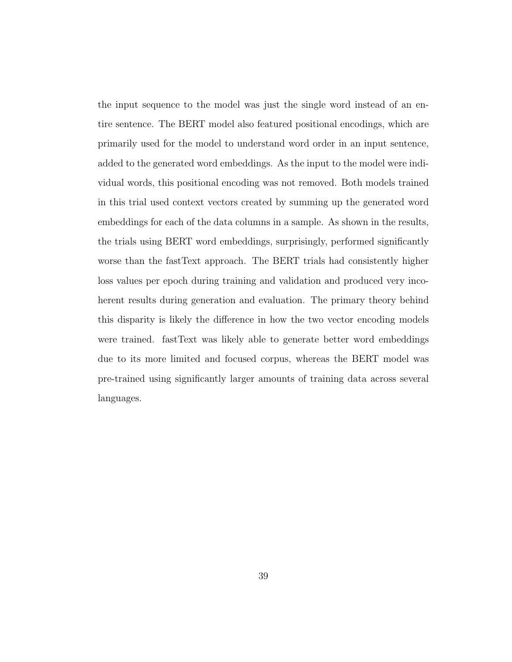the input sequence to the model was just the single word instead of an entire sentence. The BERT model also featured positional encodings, which are primarily used for the model to understand word order in an input sentence, added to the generated word embeddings. As the input to the model were individual words, this positional encoding was not removed. Both models trained in this trial used context vectors created by summing up the generated word embeddings for each of the data columns in a sample. As shown in the results, the trials using BERT word embeddings, surprisingly, performed significantly worse than the fastText approach. The BERT trials had consistently higher loss values per epoch during training and validation and produced very incoherent results during generation and evaluation. The primary theory behind this disparity is likely the difference in how the two vector encoding models were trained. fastText was likely able to generate better word embeddings due to its more limited and focused corpus, whereas the BERT model was pre-trained using significantly larger amounts of training data across several languages.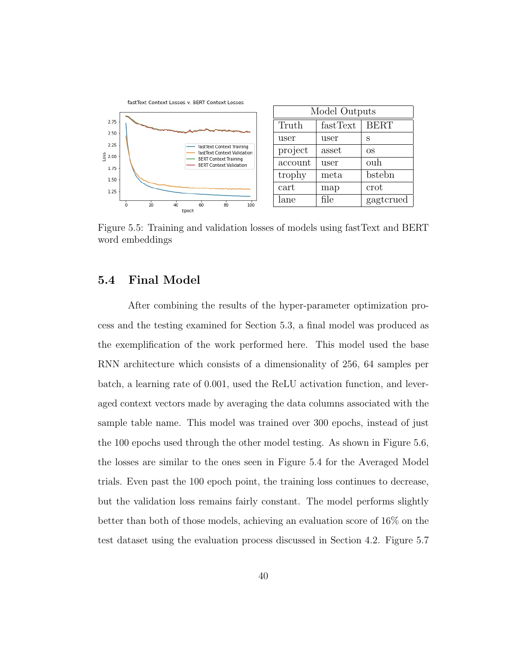

Figure 5.5: Training and validation losses of models using fastText and BERT word embeddings

#### 5.4 Final Model

After combining the results of the hyper-parameter optimization process and the testing examined for Section 5.3, a final model was produced as the exemplification of the work performed here. This model used the base RNN architecture which consists of a dimensionality of 256, 64 samples per batch, a learning rate of 0.001, used the ReLU activation function, and leveraged context vectors made by averaging the data columns associated with the sample table name. This model was trained over 300 epochs, instead of just the 100 epochs used through the other model testing. As shown in Figure 5.6, the losses are similar to the ones seen in Figure 5.4 for the Averaged Model trials. Even past the 100 epoch point, the training loss continues to decrease, but the validation loss remains fairly constant. The model performs slightly better than both of those models, achieving an evaluation score of 16% on the test dataset using the evaluation process discussed in Section 4.2. Figure 5.7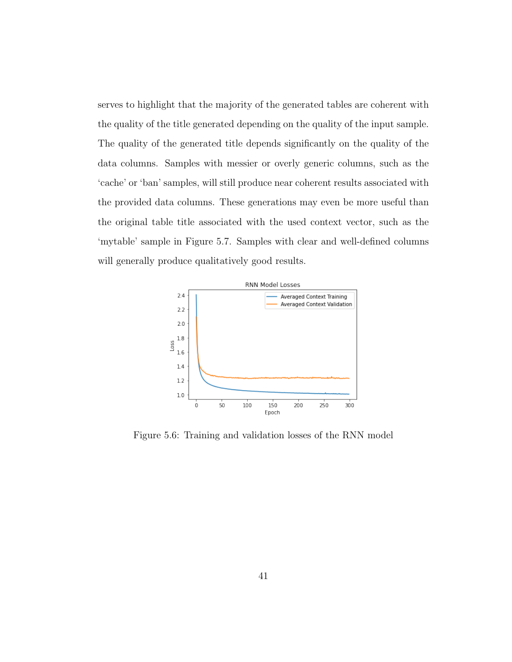serves to highlight that the majority of the generated tables are coherent with the quality of the title generated depending on the quality of the input sample. The quality of the generated title depends significantly on the quality of the data columns. Samples with messier or overly generic columns, such as the 'cache' or 'ban' samples, will still produce near coherent results associated with the provided data columns. These generations may even be more useful than the original table title associated with the used context vector, such as the 'mytable' sample in Figure 5.7. Samples with clear and well-defined columns will generally produce qualitatively good results.



Figure 5.6: Training and validation losses of the RNN model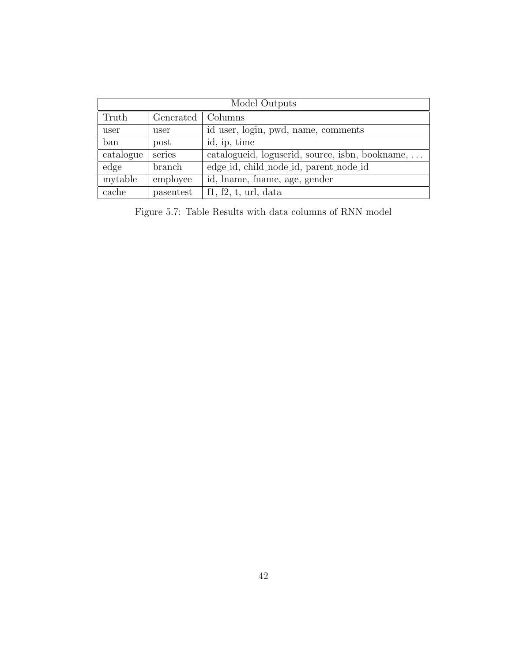| Model Outputs |           |                                                 |  |  |  |
|---------------|-----------|-------------------------------------------------|--|--|--|
| Truth         | Generated | Columns                                         |  |  |  |
| user          | user      | id_user, login, pwd, name, comments             |  |  |  |
| ban           | post      | id, ip, time                                    |  |  |  |
| catalogue     | series    | catalogueid, loguserid, source, isbn, bookname, |  |  |  |
| edge          | branch    | edge_id, child_node_id, parent_node_id          |  |  |  |
| mytable       | employee  | id, lname, fname, age, gender                   |  |  |  |
| cache         | pasentest | $f1, f2, t, \text{url}, \text{data}$            |  |  |  |

Figure 5.7: Table Results with data columns of RNN model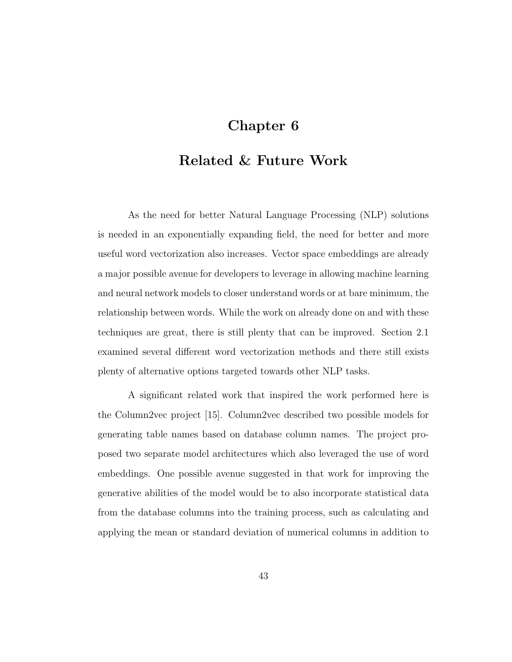### Chapter 6

### Related & Future Work

As the need for better Natural Language Processing (NLP) solutions is needed in an exponentially expanding field, the need for better and more useful word vectorization also increases. Vector space embeddings are already a major possible avenue for developers to leverage in allowing machine learning and neural network models to closer understand words or at bare minimum, the relationship between words. While the work on already done on and with these techniques are great, there is still plenty that can be improved. Section 2.1 examined several different word vectorization methods and there still exists plenty of alternative options targeted towards other NLP tasks.

A significant related work that inspired the work performed here is the Column2vec project [15]. Column2vec described two possible models for generating table names based on database column names. The project proposed two separate model architectures which also leveraged the use of word embeddings. One possible avenue suggested in that work for improving the generative abilities of the model would be to also incorporate statistical data from the database columns into the training process, such as calculating and applying the mean or standard deviation of numerical columns in addition to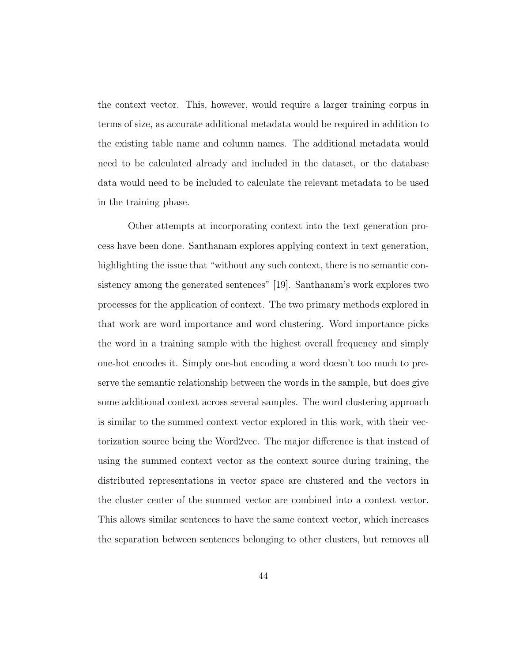the context vector. This, however, would require a larger training corpus in terms of size, as accurate additional metadata would be required in addition to the existing table name and column names. The additional metadata would need to be calculated already and included in the dataset, or the database data would need to be included to calculate the relevant metadata to be used in the training phase.

Other attempts at incorporating context into the text generation process have been done. Santhanam explores applying context in text generation, highlighting the issue that "without any such context, there is no semantic consistency among the generated sentences" [19]. Santhanam's work explores two processes for the application of context. The two primary methods explored in that work are word importance and word clustering. Word importance picks the word in a training sample with the highest overall frequency and simply one-hot encodes it. Simply one-hot encoding a word doesn't too much to preserve the semantic relationship between the words in the sample, but does give some additional context across several samples. The word clustering approach is similar to the summed context vector explored in this work, with their vectorization source being the Word2vec. The major difference is that instead of using the summed context vector as the context source during training, the distributed representations in vector space are clustered and the vectors in the cluster center of the summed vector are combined into a context vector. This allows similar sentences to have the same context vector, which increases the separation between sentences belonging to other clusters, but removes all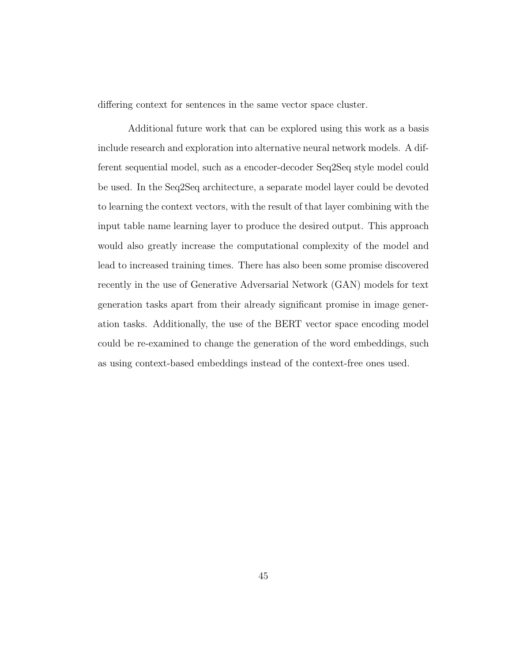differing context for sentences in the same vector space cluster.

Additional future work that can be explored using this work as a basis include research and exploration into alternative neural network models. A different sequential model, such as a encoder-decoder Seq2Seq style model could be used. In the Seq2Seq architecture, a separate model layer could be devoted to learning the context vectors, with the result of that layer combining with the input table name learning layer to produce the desired output. This approach would also greatly increase the computational complexity of the model and lead to increased training times. There has also been some promise discovered recently in the use of Generative Adversarial Network (GAN) models for text generation tasks apart from their already significant promise in image generation tasks. Additionally, the use of the BERT vector space encoding model could be re-examined to change the generation of the word embeddings, such as using context-based embeddings instead of the context-free ones used.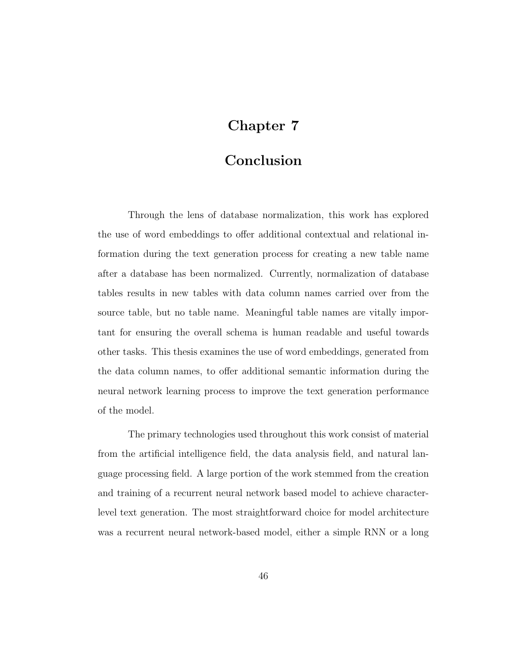## Chapter 7

### Conclusion

Through the lens of database normalization, this work has explored the use of word embeddings to offer additional contextual and relational information during the text generation process for creating a new table name after a database has been normalized. Currently, normalization of database tables results in new tables with data column names carried over from the source table, but no table name. Meaningful table names are vitally important for ensuring the overall schema is human readable and useful towards other tasks. This thesis examines the use of word embeddings, generated from the data column names, to offer additional semantic information during the neural network learning process to improve the text generation performance of the model.

The primary technologies used throughout this work consist of material from the artificial intelligence field, the data analysis field, and natural language processing field. A large portion of the work stemmed from the creation and training of a recurrent neural network based model to achieve characterlevel text generation. The most straightforward choice for model architecture was a recurrent neural network-based model, either a simple RNN or a long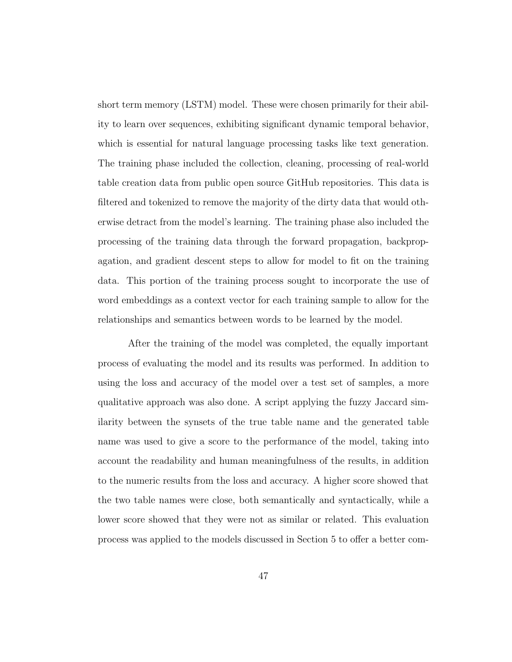short term memory (LSTM) model. These were chosen primarily for their ability to learn over sequences, exhibiting significant dynamic temporal behavior, which is essential for natural language processing tasks like text generation. The training phase included the collection, cleaning, processing of real-world table creation data from public open source GitHub repositories. This data is filtered and tokenized to remove the majority of the dirty data that would otherwise detract from the model's learning. The training phase also included the processing of the training data through the forward propagation, backpropagation, and gradient descent steps to allow for model to fit on the training data. This portion of the training process sought to incorporate the use of word embeddings as a context vector for each training sample to allow for the relationships and semantics between words to be learned by the model.

After the training of the model was completed, the equally important process of evaluating the model and its results was performed. In addition to using the loss and accuracy of the model over a test set of samples, a more qualitative approach was also done. A script applying the fuzzy Jaccard similarity between the synsets of the true table name and the generated table name was used to give a score to the performance of the model, taking into account the readability and human meaningfulness of the results, in addition to the numeric results from the loss and accuracy. A higher score showed that the two table names were close, both semantically and syntactically, while a lower score showed that they were not as similar or related. This evaluation process was applied to the models discussed in Section 5 to offer a better com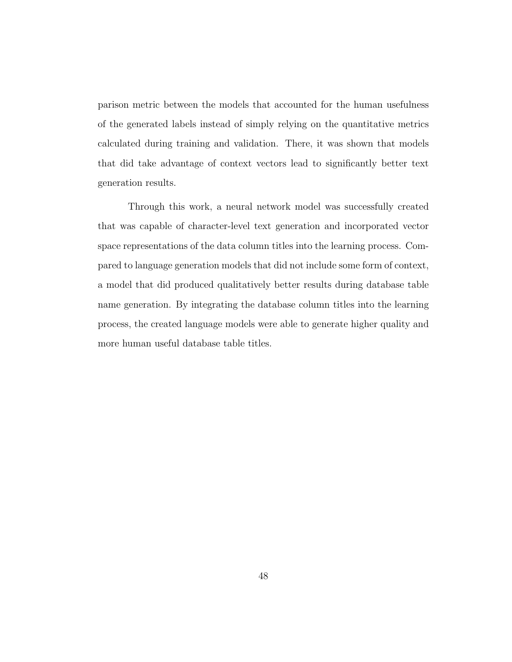parison metric between the models that accounted for the human usefulness of the generated labels instead of simply relying on the quantitative metrics calculated during training and validation. There, it was shown that models that did take advantage of context vectors lead to significantly better text generation results.

Through this work, a neural network model was successfully created that was capable of character-level text generation and incorporated vector space representations of the data column titles into the learning process. Compared to language generation models that did not include some form of context, a model that did produced qualitatively better results during database table name generation. By integrating the database column titles into the learning process, the created language models were able to generate higher quality and more human useful database table titles.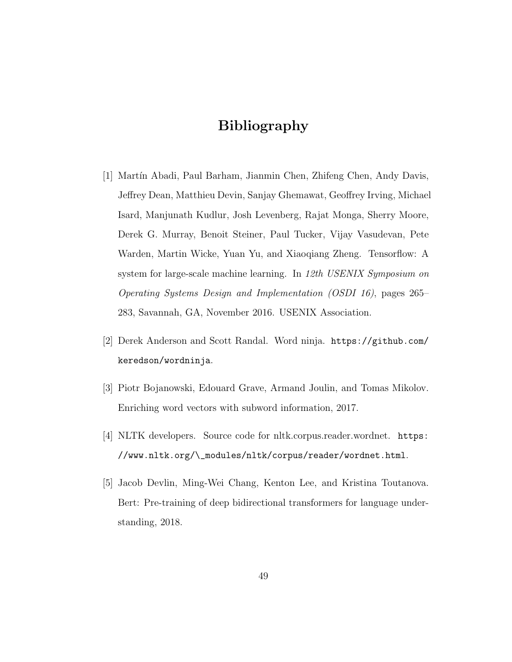## Bibliography

- [1] Martín Abadi, Paul Barham, Jianmin Chen, Zhifeng Chen, Andy Davis, Jeffrey Dean, Matthieu Devin, Sanjay Ghemawat, Geoffrey Irving, Michael Isard, Manjunath Kudlur, Josh Levenberg, Rajat Monga, Sherry Moore, Derek G. Murray, Benoit Steiner, Paul Tucker, Vijay Vasudevan, Pete Warden, Martin Wicke, Yuan Yu, and Xiaoqiang Zheng. Tensorflow: A system for large-scale machine learning. In 12th USENIX Symposium on Operating Systems Design and Implementation (OSDI 16), pages 265– 283, Savannah, GA, November 2016. USENIX Association.
- [2] Derek Anderson and Scott Randal. Word ninja. https://github.com/ keredson/wordninja.
- [3] Piotr Bojanowski, Edouard Grave, Armand Joulin, and Tomas Mikolov. Enriching word vectors with subword information, 2017.
- [4] NLTK developers. Source code for nltk.corpus.reader.wordnet. https: //www.nltk.org/\\_modules/nltk/corpus/reader/wordnet.html.
- [5] Jacob Devlin, Ming-Wei Chang, Kenton Lee, and Kristina Toutanova. Bert: Pre-training of deep bidirectional transformers for language understanding, 2018.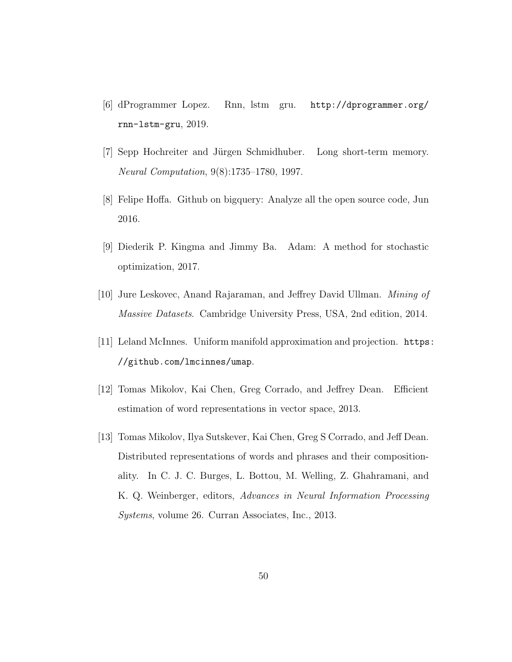- [6] dProgrammer Lopez. Rnn, lstm gru. http://dprogrammer.org/ rnn-lstm-gru, 2019.
- [7] Sepp Hochreiter and Jürgen Schmidhuber. Long short-term memory. Neural Computation, 9(8):1735–1780, 1997.
- [8] Felipe Hoffa. Github on bigquery: Analyze all the open source code, Jun 2016.
- [9] Diederik P. Kingma and Jimmy Ba. Adam: A method for stochastic optimization, 2017.
- [10] Jure Leskovec, Anand Rajaraman, and Jeffrey David Ullman. Mining of Massive Datasets. Cambridge University Press, USA, 2nd edition, 2014.
- [11] Leland McInnes. Uniform manifold approximation and projection. https: //github.com/lmcinnes/umap.
- [12] Tomas Mikolov, Kai Chen, Greg Corrado, and Jeffrey Dean. Efficient estimation of word representations in vector space, 2013.
- [13] Tomas Mikolov, Ilya Sutskever, Kai Chen, Greg S Corrado, and Jeff Dean. Distributed representations of words and phrases and their compositionality. In C. J. C. Burges, L. Bottou, M. Welling, Z. Ghahramani, and K. Q. Weinberger, editors, Advances in Neural Information Processing Systems, volume 26. Curran Associates, Inc., 2013.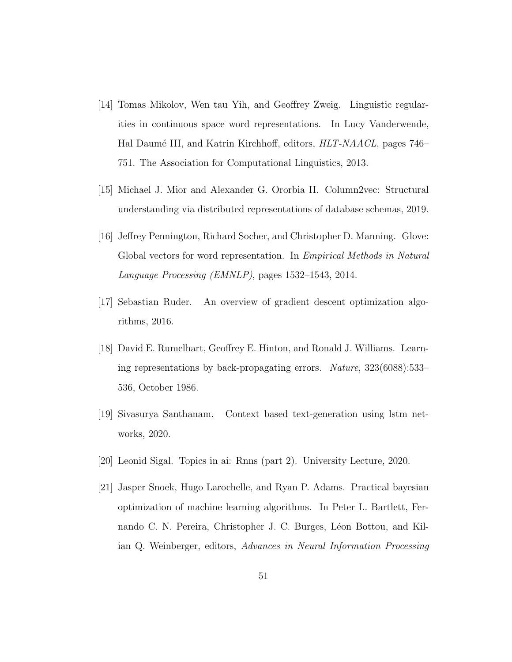- [14] Tomas Mikolov, Wen tau Yih, and Geoffrey Zweig. Linguistic regularities in continuous space word representations. In Lucy Vanderwende, Hal Daumé III, and Katrin Kirchhoff, editors, *HLT-NAACL*, pages 746– 751. The Association for Computational Linguistics, 2013.
- [15] Michael J. Mior and Alexander G. Ororbia II. Column2vec: Structural understanding via distributed representations of database schemas, 2019.
- [16] Jeffrey Pennington, Richard Socher, and Christopher D. Manning. Glove: Global vectors for word representation. In Empirical Methods in Natural Language Processing (EMNLP), pages 1532–1543, 2014.
- [17] Sebastian Ruder. An overview of gradient descent optimization algorithms, 2016.
- [18] David E. Rumelhart, Geoffrey E. Hinton, and Ronald J. Williams. Learning representations by back-propagating errors. Nature, 323(6088):533– 536, October 1986.
- [19] Sivasurya Santhanam. Context based text-generation using lstm networks, 2020.
- [20] Leonid Sigal. Topics in ai: Rnns (part 2). University Lecture, 2020.
- [21] Jasper Snoek, Hugo Larochelle, and Ryan P. Adams. Practical bayesian optimization of machine learning algorithms. In Peter L. Bartlett, Fernando C. N. Pereira, Christopher J. C. Burges, Léon Bottou, and Kilian Q. Weinberger, editors, Advances in Neural Information Processing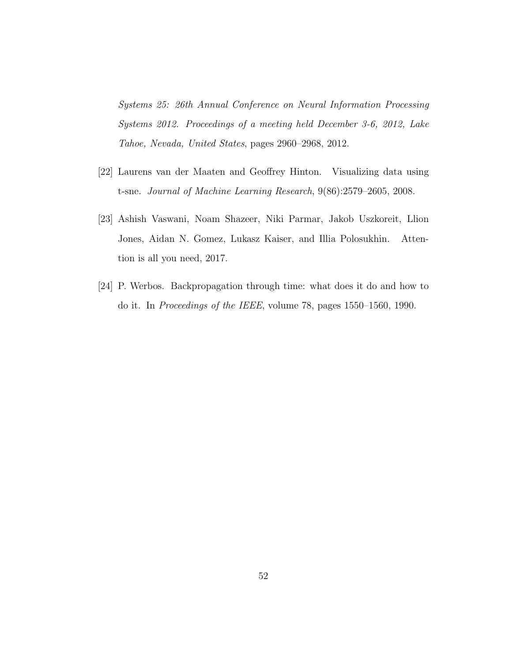Systems 25: 26th Annual Conference on Neural Information Processing Systems 2012. Proceedings of a meeting held December 3-6, 2012, Lake Tahoe, Nevada, United States, pages 2960–2968, 2012.

- [22] Laurens van der Maaten and Geoffrey Hinton. Visualizing data using t-sne. Journal of Machine Learning Research, 9(86):2579–2605, 2008.
- [23] Ashish Vaswani, Noam Shazeer, Niki Parmar, Jakob Uszkoreit, Llion Jones, Aidan N. Gomez, Lukasz Kaiser, and Illia Polosukhin. Attention is all you need, 2017.
- [24] P. Werbos. Backpropagation through time: what does it do and how to do it. In Proceedings of the IEEE, volume 78, pages 1550–1560, 1990.